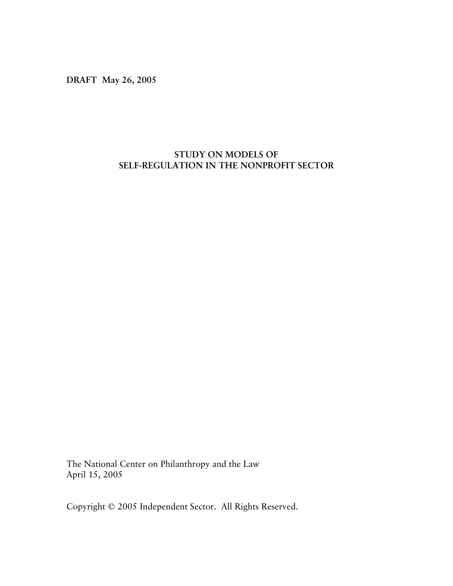**DRAFT May 26, 2005** 

# **STUDY ON MODELS OF SELF-REGULATION IN THE NONPROFIT SECTOR**

The National Center on Philanthropy and the Law April 15, 2005

Copyright © 2005 Independent Sector. All Rights Reserved.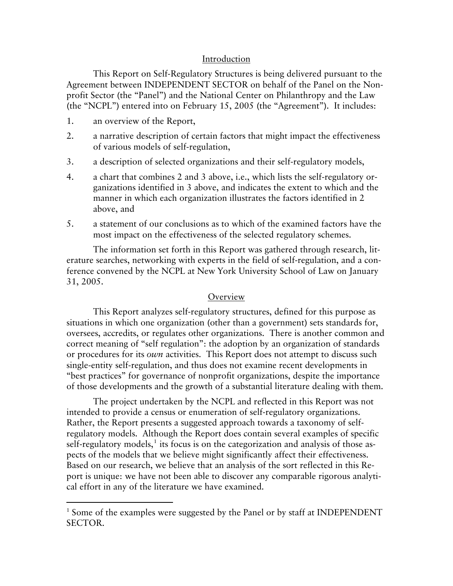## Introduction

 This Report on Self-Regulatory Structures is being delivered pursuant to the Agreement between INDEPENDENT SECTOR on behalf of the Panel on the Nonprofit Sector (the "Panel") and the National Center on Philanthropy and the Law (the "NCPL") entered into on February 15, 2005 (the "Agreement"). It includes:

1. an overview of the Report,

 $\overline{a}$ 

- 2. a narrative description of certain factors that might impact the effectiveness of various models of self-regulation,
- 3. a description of selected organizations and their self-regulatory models,
- 4. a chart that combines 2 and 3 above, i.e., which lists the self-regulatory organizations identified in 3 above, and indicates the extent to which and the manner in which each organization illustrates the factors identified in 2 above, and
- 5. a statement of our conclusions as to which of the examined factors have the most impact on the effectiveness of the selected regulatory schemes.

 The information set forth in this Report was gathered through research, literature searches, networking with experts in the field of self-regulation, and a conference convened by the NCPL at New York University School of Law on January 31, 2005.

#### **Overview**

 This Report analyzes self-regulatory structures, defined for this purpose as situations in which one organization (other than a government) sets standards for, oversees, accredits, or regulates other organizations. There is another common and correct meaning of "self regulation": the adoption by an organization of standards or procedures for its *own* activities. This Report does not attempt to discuss such single-entity self-regulation, and thus does not examine recent developments in "best practices" for governance of nonprofit organizations, despite the importance of those developments and the growth of a substantial literature dealing with them.

The project undertaken by the NCPL and reflected in this Report was not intended to provide a census or enumeration of self-regulatory organizations. Rather, the Report presents a suggested approach towards a taxonomy of selfregulatory models. Although the Report does contain several examples of specific self-regulatory models, $^1$  $^1$  its focus is on the categorization and analysis of those aspects of the models that we believe might significantly affect their effectiveness. Based on our research, we believe that an analysis of the sort reflected in this Report is unique: we have not been able to discover any comparable rigorous analytical effort in any of the literature we have examined.

<span id="page-1-0"></span><sup>&</sup>lt;sup>1</sup> Some of the examples were suggested by the Panel or by staff at INDEPENDENT SECTOR.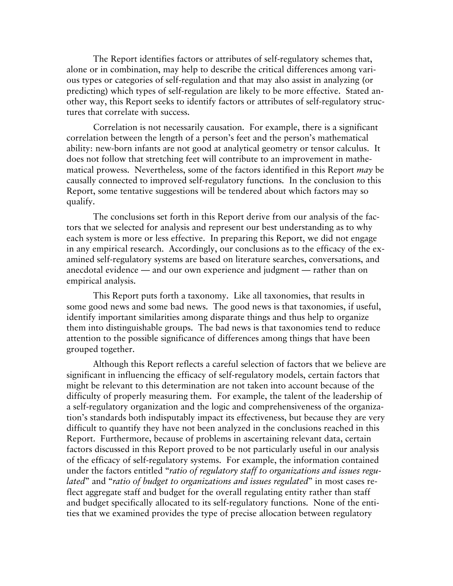The Report identifies factors or attributes of self-regulatory schemes that, alone or in combination, may help to describe the critical differences among various types or categories of self-regulation and that may also assist in analyzing (or predicting) which types of self-regulation are likely to be more effective. Stated another way, this Report seeks to identify factors or attributes of self-regulatory structures that correlate with success.

Correlation is not necessarily causation. For example, there is a significant correlation between the length of a person's feet and the person's mathematical ability: new-born infants are not good at analytical geometry or tensor calculus. It does not follow that stretching feet will contribute to an improvement in mathematical prowess. Nevertheless, some of the factors identified in this Report *may* be causally connected to improved self-regulatory functions. In the conclusion to this Report, some tentative suggestions will be tendered about which factors may so qualify.

The conclusions set forth in this Report derive from our analysis of the factors that we selected for analysis and represent our best understanding as to why each system is more or less effective. In preparing this Report, we did not engage in any empirical research. Accordingly, our conclusions as to the efficacy of the examined self-regulatory systems are based on literature searches, conversations, and anecdotal evidence — and our own experience and judgment — rather than on empirical analysis.

This Report puts forth a taxonomy. Like all taxonomies, that results in some good news and some bad news. The good news is that taxonomies, if useful, identify important similarities among disparate things and thus help to organize them into distinguishable groups. The bad news is that taxonomies tend to reduce attention to the possible significance of differences among things that have been grouped together.

Although this Report reflects a careful selection of factors that we believe are significant in influencing the efficacy of self-regulatory models, certain factors that might be relevant to this determination are not taken into account because of the difficulty of properly measuring them. For example, the talent of the leadership of a self-regulatory organization and the logic and comprehensiveness of the organization's standards both indisputably impact its effectiveness, but because they are very difficult to quantify they have not been analyzed in the conclusions reached in this Report. Furthermore, because of problems in ascertaining relevant data, certain factors discussed in this Report proved to be not particularly useful in our analysis of the efficacy of self-regulatory systems. For example, the information contained under the factors entitled "*ratio of regulatory staff to organizations and issues regulated*" and "*ratio of budget to organizations and issues regulated*" in most cases reflect aggregate staff and budget for the overall regulating entity rather than staff and budget specifically allocated to its self-regulatory functions. None of the entities that we examined provides the type of precise allocation between regulatory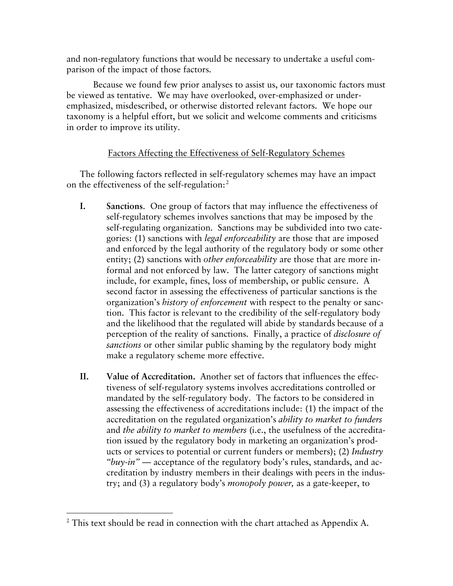and non-regulatory functions that would be necessary to undertake a useful comparison of the impact of those factors.

Because we found few prior analyses to assist us, our taxonomic factors must be viewed as tentative. We may have overlooked, over-emphasized or underemphasized, misdescribed, or otherwise distorted relevant factors. We hope our taxonomy is a helpful effort, but we solicit and welcome comments and criticisms in order to improve its utility.

# Factors Affecting the Effectiveness of Self-Regulatory Schemes

The following factors reflected in self-regulatory schemes may have an impact on the effectiveness of the self-regulation:<sup>[2](#page-3-0)</sup>

- **I. Sanctions**. One group of factors that may influence the effectiveness of self-regulatory schemes involves sanctions that may be imposed by the self-regulating organization. Sanctions may be subdivided into two categories: (1) sanctions with *legal enforceability* are those that are imposed and enforced by the legal authority of the regulatory body or some other entity; (2) sanctions with *other enforceability* are those that are more informal and not enforced by law. The latter category of sanctions might include, for example, fines, loss of membership, or public censure. A second factor in assessing the effectiveness of particular sanctions is the organization's *history of enforcement* with respect to the penalty or sanction. This factor is relevant to the credibility of the self-regulatory body and the likelihood that the regulated will abide by standards because of a perception of the reality of sanctions. Finally, a practice of *disclosure of sanctions* or other similar public shaming by the regulatory body might make a regulatory scheme more effective.
- **II. Value of Accreditation.** Another set of factors that influences the effectiveness of self-regulatory systems involves accreditations controlled or mandated by the self-regulatory body. The factors to be considered in assessing the effectiveness of accreditations include: (1) the impact of the accreditation on the regulated organization's *ability to market to funders* and *the ability to market to members* (i.e., the usefulness of the accreditation issued by the regulatory body in marketing an organization's products or services to potential or current funders or members); (2) *Industry "buy-in" —* acceptance of the regulatory body's rules, standards, and accreditation by industry members in their dealings with peers in the industry; and (3) a regulatory body's *monopoly power,* as a gate-keeper, to

 $\overline{a}$ 

<span id="page-3-0"></span> $2$  This text should be read in connection with the chart attached as Appendix A.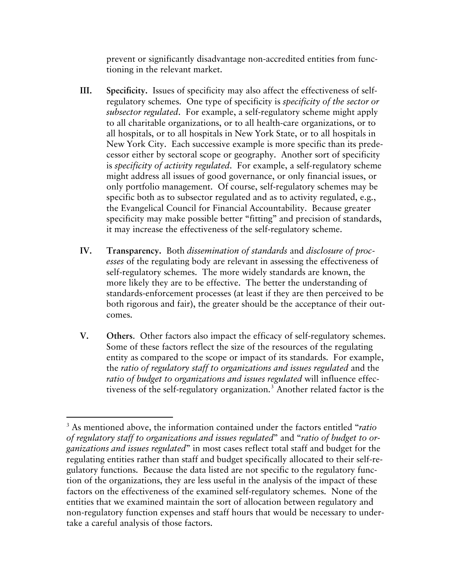prevent or significantly disadvantage non-accredited entities from functioning in the relevant market.

- **III. Specificity.** Issues of specificity may also affect the effectiveness of selfregulatory schemes. One type of specificity is *specificity of the sector or subsector regulated*. For example, a self-regulatory scheme might apply to all charitable organizations, or to all health-care organizations, or to all hospitals, or to all hospitals in New York State, or to all hospitals in New York City. Each successive example is more specific than its predecessor either by sectoral scope or geography. Another sort of specificity is *specificity of activity regulated*. For example, a self-regulatory scheme might address all issues of good governance, or only financial issues, or only portfolio management. Of course, self-regulatory schemes may be specific both as to subsector regulated and as to activity regulated, e.g., the Evangelical Council for Financial Accountability. Because greater specificity may make possible better "fitting" and precision of standards, it may increase the effectiveness of the self-regulatory scheme.
- **IV. Transparency.** Both *dissemination of standards* and *disclosure of processes* of the regulating body are relevant in assessing the effectiveness of self-regulatory schemes. The more widely standards are known, the more likely they are to be effective. The better the understanding of standards-enforcement processes (at least if they are then perceived to be both rigorous and fair), the greater should be the acceptance of their outcomes.
- **V. Others**. Other factors also impact the efficacy of self-regulatory schemes. Some of these factors reflect the size of the resources of the regulating entity as compared to the scope or impact of its standards. For example, the *ratio of regulatory staff to organizations and issues regulated* and the *ratio of budget to organizations and issues regulated* will influence effec-tiveness of the self-regulatory organization.<sup>[3](#page-4-0)</sup> Another related factor is the

 $\overline{a}$ 

<span id="page-4-0"></span><sup>3</sup> As mentioned above, the information contained under the factors entitled "*ratio of regulatory staff to organizations and issues regulated*" and "*ratio of budget to organizations and issues regulated*" in most cases reflect total staff and budget for the regulating entities rather than staff and budget specifically allocated to their self-regulatory functions. Because the data listed are not specific to the regulatory function of the organizations, they are less useful in the analysis of the impact of these factors on the effectiveness of the examined self-regulatory schemes. None of the entities that we examined maintain the sort of allocation between regulatory and non-regulatory function expenses and staff hours that would be necessary to undertake a careful analysis of those factors.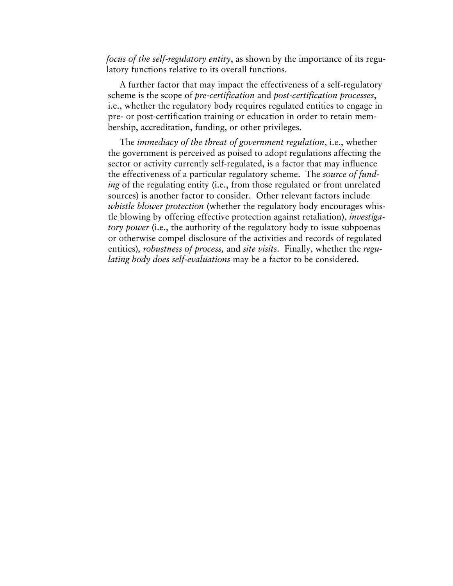*focus of the self-regulatory entity*, as shown by the importance of its regulatory functions relative to its overall functions.

A further factor that may impact the effectiveness of a self-regulatory scheme is the scope of *pre-certification* and *post-certification processes*, i.e., whether the regulatory body requires regulated entities to engage in pre- or post-certification training or education in order to retain membership, accreditation, funding, or other privileges.

The *immediacy of the threat of government regulation*, i.e., whether the government is perceived as poised to adopt regulations affecting the sector or activity currently self-regulated, is a factor that may influence the effectiveness of a particular regulatory scheme. The *source of funding* of the regulating entity (i.e., from those regulated or from unrelated sources) is another factor to consider. Other relevant factors include *whistle blower protection* (whether the regulatory body encourages whistle blowing by offering effective protection against retaliation), *investigatory power* (i.e., the authority of the regulatory body to issue subpoenas or otherwise compel disclosure of the activities and records of regulated entities)*, robustness of process,* and *site visits*. Finally, whether the *regulating body does self-evaluations* may be a factor to be considered.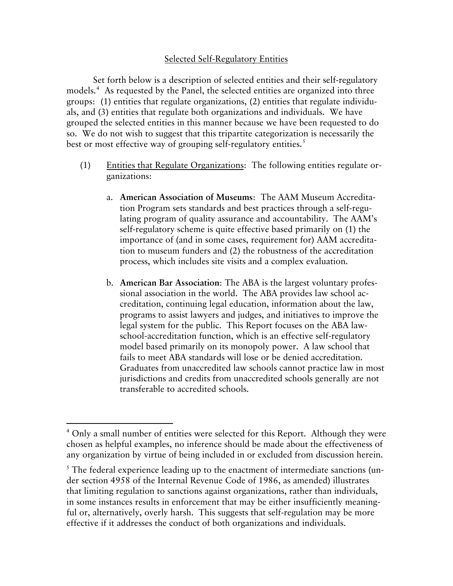## Selected Self-Regulatory Entities

 Set forth below is a description of selected entities and their self-regulatory models.[4](#page-6-0) As requested by the Panel, the selected entities are organized into three groups: (1) entities that regulate organizations, (2) entities that regulate individuals, and (3) entities that regulate both organizations and individuals. We have grouped the selected entities in this manner because we have been requested to do so. We do not wish to suggest that this tripartite categorization is necessarily the best or most effective way of grouping self-regulatory entities.<sup>[5](#page-6-1)</sup>

- (1) Entities that Regulate Organizations: The following entities regulate organizations:
	- a. **American Association of Museums**: The AAM Museum Accreditation Program sets standards and best practices through a self-regulating program of quality assurance and accountability. The AAM's self-regulatory scheme is quite effective based primarily on (1) the importance of (and in some cases, requirement for) AAM accreditation to museum funders and (2) the robustness of the accreditation process, which includes site visits and a complex evaluation.
	- b. **American Bar Association**: The ABA is the largest voluntary professional association in the world. The ABA provides law school accreditation, continuing legal education, information about the law, programs to assist lawyers and judges, and initiatives to improve the legal system for the public. This Report focuses on the ABA lawschool-accreditation function, which is an effective self-regulatory model based primarily on its monopoly power. A law school that fails to meet ABA standards will lose or be denied accreditation. Graduates from unaccredited law schools cannot practice law in most jurisdictions and credits from unaccredited schools generally are not transferable to accredited schools.

 $\overline{a}$ 

<span id="page-6-0"></span><sup>&</sup>lt;sup>4</sup> Only a small number of entities were selected for this Report. Although they were chosen as helpful examples, no inference should be made about the effectiveness of any organization by virtue of being included in or excluded from discussion herein.

<span id="page-6-1"></span> $<sup>5</sup>$  The federal experience leading up to the enactment of intermediate sanctions (un-</sup> der section 4958 of the Internal Revenue Code of 1986, as amended) illustrates that limiting regulation to sanctions against organizations, rather than individuals, in some instances results in enforcement that may be either insufficiently meaningful or, alternatively, overly harsh. This suggests that self-regulation may be more effective if it addresses the conduct of both organizations and individuals.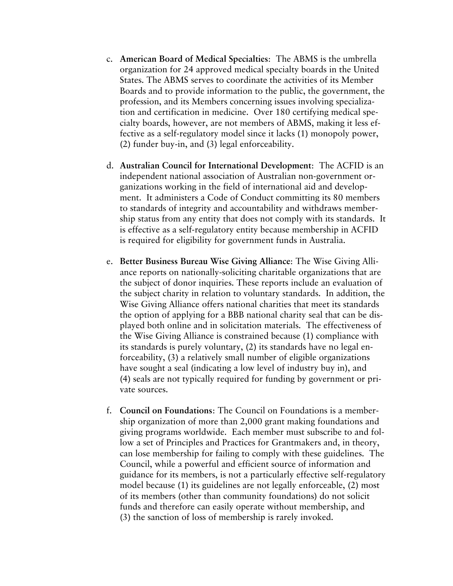- c. **American Board of Medical Specialties**: The ABMS is the umbrella organization for 24 approved medical specialty boards in the United States. The ABMS serves to coordinate the activities of its Member Boards and to provide information to the public, the government, the profession, and its Members concerning issues involving specialization and certification in medicine. Over 180 certifying medical specialty boards, however, are not members of ABMS, making it less effective as a self-regulatory model since it lacks (1) monopoly power, (2) funder buy-in, and (3) legal enforceability.
- d. **Australian Council for International Development**: The ACFID is an independent national association of Australian non-government organizations working in the field of international aid and development. It administers a Code of Conduct committing its 80 members to standards of integrity and accountability and withdraws membership status from any entity that does not comply with its standards. It is effective as a self-regulatory entity because membership in ACFID is required for eligibility for government funds in Australia.
- e. **Better Business Bureau Wise Giving Alliance**: The Wise Giving Alliance reports on nationally-soliciting charitable organizations that are the subject of donor inquiries. These reports include an evaluation of the subject charity in relation to voluntary standards. In addition, the Wise Giving Alliance offers national charities that meet its standards the option of applying for a BBB national charity seal that can be displayed both online and in solicitation materials. The effectiveness of the Wise Giving Alliance is constrained because (1) compliance with its standards is purely voluntary, (2) its standards have no legal enforceability, (3) a relatively small number of eligible organizations have sought a seal (indicating a low level of industry buy in), and (4) seals are not typically required for funding by government or private sources.
- f. **Council on Foundations**: The Council on Foundations is a membership organization of more than 2,000 grant making foundations and giving programs worldwide. Each member must subscribe to and follow a set of Principles and Practices for Grantmakers and, in theory, can lose membership for failing to comply with these guidelines. The Council, while a powerful and efficient source of information and guidance for its members, is not a particularly effective self-regulatory model because (1) its guidelines are not legally enforceable, (2) most of its members (other than community foundations) do not solicit funds and therefore can easily operate without membership, and (3) the sanction of loss of membership is rarely invoked.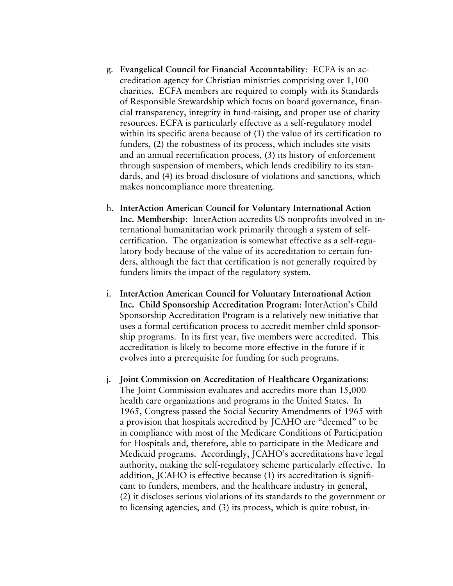- g. **Evangelical Council for Financial Accountability**: ECFA is an accreditation agency for Christian ministries comprising over 1,100 charities. ECFA members are required to comply with its Standards of Responsible Stewardship which focus on board governance, financial transparency, integrity in fund-raising, and proper use of charity resources. ECFA is particularly effective as a self-regulatory model within its specific arena because of (1) the value of its certification to funders, (2) the robustness of its process, which includes site visits and an annual recertification process, (3) its history of enforcement through suspension of members, which lends credibility to its standards, and (4) its broad disclosure of violations and sanctions, which makes noncompliance more threatening.
- h. **InterAction American Council for Voluntary International Action Inc. Membership**: InterAction accredits US nonprofits involved in international humanitarian work primarily through a system of selfcertification. The organization is somewhat effective as a self-regulatory body because of the value of its accreditation to certain funders, although the fact that certification is not generally required by funders limits the impact of the regulatory system.
- i. **InterAction American Council for Voluntary International Action Inc. Child Sponsorship Accreditation Program**: InterAction's Child Sponsorship Accreditation Program is a relatively new initiative that uses a formal certification process to accredit member child sponsorship programs. In its first year, five members were accredited. This accreditation is likely to become more effective in the future if it evolves into a prerequisite for funding for such programs.
- j. **Joint Commission on Accreditation of Healthcare Organizations**: The Joint Commission evaluates and accredits more than 15,000 health care organizations and programs in the United States. In 1965, Congress passed the Social Security Amendments of 1965 with a provision that hospitals accredited by JCAHO are "deemed" to be in compliance with most of the Medicare Conditions of Participation for Hospitals and, therefore, able to participate in the Medicare and Medicaid programs. Accordingly, JCAHO's accreditations have legal authority, making the self-regulatory scheme particularly effective. In addition, JCAHO is effective because (1) its accreditation is significant to funders, members, and the healthcare industry in general, (2) it discloses serious violations of its standards to the government or to licensing agencies, and (3) its process, which is quite robust, in-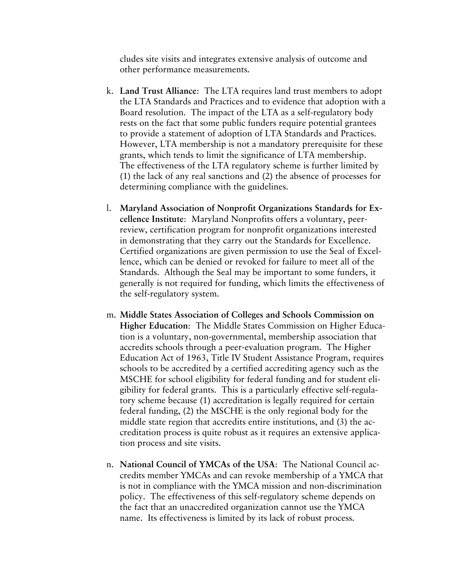cludes site visits and integrates extensive analysis of outcome and other performance measurements.

- k. **Land Trust Alliance**: The LTA requires land trust members to adopt the LTA Standards and Practices and to evidence that adoption with a Board resolution. The impact of the LTA as a self-regulatory body rests on the fact that some public funders require potential grantees to provide a statement of adoption of LTA Standards and Practices. However, LTA membership is not a mandatory prerequisite for these grants, which tends to limit the significance of LTA membership. The effectiveness of the LTA regulatory scheme is further limited by (1) the lack of any real sanctions and (2) the absence of processes for determining compliance with the guidelines.
- l. **Maryland Association of Nonprofit Organizations Standards for Excellence Institute**: Maryland Nonprofits offers a voluntary, peerreview, certification program for nonprofit organizations interested in demonstrating that they carry out the Standards for Excellence. Certified organizations are given permission to use the Seal of Excellence, which can be denied or revoked for failure to meet all of the Standards. Although the Seal may be important to some funders, it generally is not required for funding, which limits the effectiveness of the self-regulatory system.
- m. **Middle States Association of Colleges and Schools Commission on Higher Education**: The Middle States Commission on Higher Education is a voluntary, non-governmental, membership association that accredits schools through a peer-evaluation program. The Higher Education Act of 1963, Title IV Student Assistance Program, requires schools to be accredited by a certified accrediting agency such as the MSCHE for school eligibility for federal funding and for student eligibility for federal grants. This is a particularly effective self-regulatory scheme because (1) accreditation is legally required for certain federal funding, (2) the MSCHE is the only regional body for the middle state region that accredits entire institutions, and (3) the accreditation process is quite robust as it requires an extensive application process and site visits.
- n. **National Council of YMCAs of the USA**: The National Council accredits member YMCAs and can revoke membership of a YMCA that is not in compliance with the YMCA mission and non-discrimination policy. The effectiveness of this self-regulatory scheme depends on the fact that an unaccredited organization cannot use the YMCA name. Its effectiveness is limited by its lack of robust process.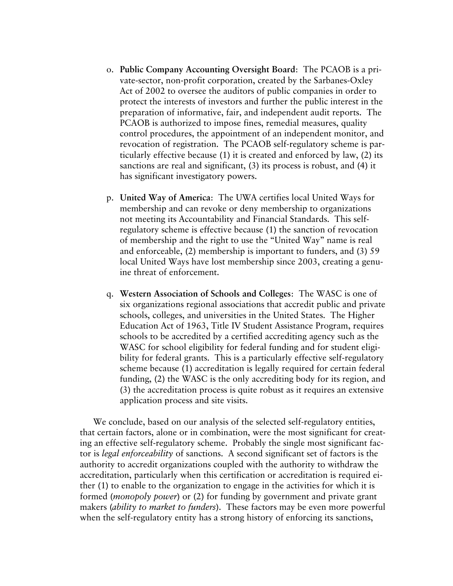- o. **Public Company Accounting Oversight Board**: The PCAOB is a private-sector, non-profit corporation, created by the Sarbanes-Oxley Act of 2002 to oversee the auditors of public companies in order to protect the interests of investors and further the public interest in the preparation of informative, fair, and independent audit reports. The PCAOB is authorized to impose fines, remedial measures, quality control procedures, the appointment of an independent monitor, and revocation of registration. The PCAOB self-regulatory scheme is particularly effective because (1) it is created and enforced by law, (2) its sanctions are real and significant, (3) its process is robust, and (4) it has significant investigatory powers.
- p. **United Way of America**: The UWA certifies local United Ways for membership and can revoke or deny membership to organizations not meeting its Accountability and Financial Standards. This selfregulatory scheme is effective because (1) the sanction of revocation of membership and the right to use the "United Way" name is real and enforceable, (2) membership is important to funders, and (3) 59 local United Ways have lost membership since 2003, creating a genuine threat of enforcement.
- q. **Western Association of Schools and Colleges**: The WASC is one of six organizations regional associations that accredit public and private schools, colleges, and universities in the United States. The Higher Education Act of 1963, Title IV Student Assistance Program, requires schools to be accredited by a certified accrediting agency such as the WASC for school eligibility for federal funding and for student eligibility for federal grants. This is a particularly effective self-regulatory scheme because (1) accreditation is legally required for certain federal funding, (2) the WASC is the only accrediting body for its region, and (3) the accreditation process is quite robust as it requires an extensive application process and site visits.

We conclude, based on our analysis of the selected self-regulatory entities, that certain factors, alone or in combination, were the most significant for creating an effective self-regulatory scheme. Probably the single most significant factor is *legal enforceability* of sanctions. A second significant set of factors is the authority to accredit organizations coupled with the authority to withdraw the accreditation, particularly when this certification or accreditation is required either (1) to enable to the organization to engage in the activities for which it is formed (*monopoly power*) or (2) for funding by government and private grant makers (*ability to market to funders*). These factors may be even more powerful when the self-regulatory entity has a strong history of enforcing its sanctions,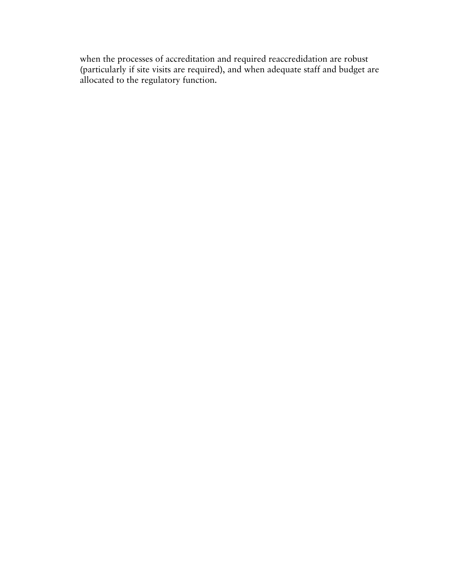when the processes of accreditation and required reaccredidation are robust (particularly if site visits are required), and when adequate staff and budget are allocated to the regulatory function.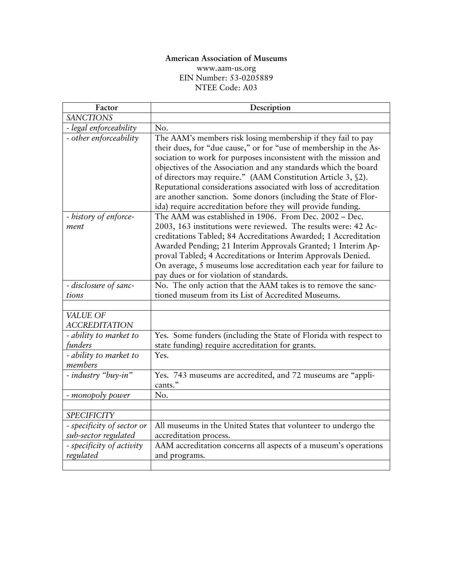# **American Association of Museums**

[www.aam-us.org](http://www.aam-us.org/) EIN Number: 53-0205889 NTEE Code: A03

| Factor                                             | Description                                                                                                                                                                                                                                                                                                                                                                                                                                                                                                                                      |
|----------------------------------------------------|--------------------------------------------------------------------------------------------------------------------------------------------------------------------------------------------------------------------------------------------------------------------------------------------------------------------------------------------------------------------------------------------------------------------------------------------------------------------------------------------------------------------------------------------------|
| <b>SANCTIONS</b>                                   |                                                                                                                                                                                                                                                                                                                                                                                                                                                                                                                                                  |
| - legal enforceability                             | No.                                                                                                                                                                                                                                                                                                                                                                                                                                                                                                                                              |
| - other enforceability                             | The AAM's members risk losing membership if they fail to pay<br>their dues, for "due cause," or for "use of membership in the As-<br>sociation to work for purposes inconsistent with the mission and<br>objectives of the Association and any standards which the board<br>of directors may require." (AAM Constitution Article 3, §2).<br>Reputational considerations associated with loss of accreditation<br>are another sanction. Some donors (including the State of Flor-<br>ida) require accreditation before they will provide funding. |
| - history of enforce-<br>ment                      | The AAM was established in 1906. From Dec. 2002 – Dec.<br>2003, 163 institutions were reviewed. The results were: 42 Ac-<br>creditations Tabled; 84 Accreditations Awarded; 1 Accreditation<br>Awarded Pending; 21 Interim Approvals Granted; 1 Interim Ap-<br>proval Tabled; 4 Accreditations or Interim Approvals Denied.<br>On average, 5 museums lose accreditation each year for failure to<br>pay dues or for violation of standards.                                                                                                      |
| - disclosure of sanc-                              | No. The only action that the AAM takes is to remove the sanc-                                                                                                                                                                                                                                                                                                                                                                                                                                                                                    |
| tions                                              | tioned museum from its List of Accredited Museums.                                                                                                                                                                                                                                                                                                                                                                                                                                                                                               |
|                                                    |                                                                                                                                                                                                                                                                                                                                                                                                                                                                                                                                                  |
| VALUE OF<br><b>ACCREDITATION</b>                   |                                                                                                                                                                                                                                                                                                                                                                                                                                                                                                                                                  |
| - ability to market to<br>funders                  | Yes. Some funders (including the State of Florida with respect to<br>state funding) require accreditation for grants.                                                                                                                                                                                                                                                                                                                                                                                                                            |
| - ability to market to<br>members                  | Yes.                                                                                                                                                                                                                                                                                                                                                                                                                                                                                                                                             |
| - industry "buy-in"                                | Yes. 743 museums are accredited, and 72 museums are "appli-<br>cants."                                                                                                                                                                                                                                                                                                                                                                                                                                                                           |
| - monopoly power                                   | No.                                                                                                                                                                                                                                                                                                                                                                                                                                                                                                                                              |
|                                                    |                                                                                                                                                                                                                                                                                                                                                                                                                                                                                                                                                  |
| <b>SPECIFICITY</b>                                 |                                                                                                                                                                                                                                                                                                                                                                                                                                                                                                                                                  |
| - specificity of sector or<br>sub-sector regulated | All museums in the United States that volunteer to undergo the<br>accreditation process.                                                                                                                                                                                                                                                                                                                                                                                                                                                         |
| - specificity of activity<br>regulated             | AAM accreditation concerns all aspects of a museum's operations<br>and programs.                                                                                                                                                                                                                                                                                                                                                                                                                                                                 |
|                                                    |                                                                                                                                                                                                                                                                                                                                                                                                                                                                                                                                                  |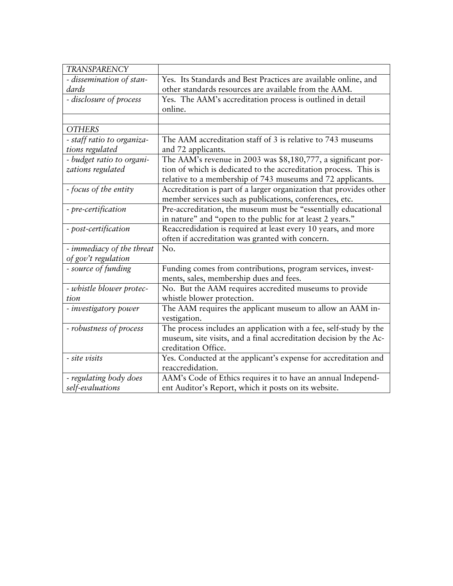| <b>TRANSPARENCY</b>        |                                                                    |
|----------------------------|--------------------------------------------------------------------|
| - dissemination of stan-   | Yes. Its Standards and Best Practices are available online, and    |
| dards                      | other standards resources are available from the AAM.              |
| - disclosure of process    | Yes. The AAM's accreditation process is outlined in detail         |
|                            | online.                                                            |
|                            |                                                                    |
| <b>OTHERS</b>              |                                                                    |
| - staff ratio to organiza- | The AAM accreditation staff of 3 is relative to 743 museums        |
| tions regulated            | and 72 applicants.                                                 |
| - budget ratio to organi-  | The AAM's revenue in 2003 was \$8,180,777, a significant por-      |
| zations regulated          | tion of which is dedicated to the accreditation process. This is   |
|                            | relative to a membership of 743 museums and 72 applicants.         |
| - focus of the entity      | Accreditation is part of a larger organization that provides other |
|                            | member services such as publications, conferences, etc.            |
| - pre-certification        | Pre-accreditation, the museum must be "essentially educational     |
|                            | in nature" and "open to the public for at least 2 years."          |
| - post-certification       | Reaccredidation is required at least every 10 years, and more      |
|                            | often if accreditation was granted with concern.                   |
| - immediacy of the threat  | No.                                                                |
| of gov't regulation        |                                                                    |
| - source of funding        | Funding comes from contributions, program services, invest-        |
|                            | ments, sales, membership dues and fees.                            |
| - whistle blower protec-   | No. But the AAM requires accredited museums to provide             |
| tion                       | whistle blower protection.                                         |
| - investigatory power      | The AAM requires the applicant museum to allow an AAM in-          |
|                            | vestigation.                                                       |
| - robustness of process    | The process includes an application with a fee, self-study by the  |
|                            | museum, site visits, and a final accreditation decision by the Ac- |
|                            | creditation Office.                                                |
| - site visits              | Yes. Conducted at the applicant's expense for accreditation and    |
|                            | reaccredidation.                                                   |
| - regulating body does     | AAM's Code of Ethics requires it to have an annual Independ-       |
| self-evaluations           | ent Auditor's Report, which it posts on its website.               |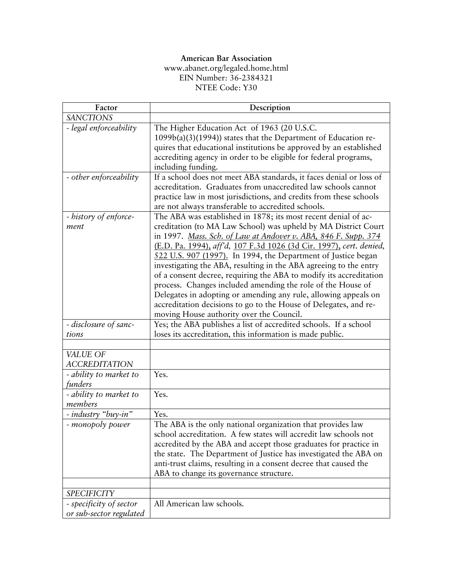# **American Bar Association**

[www.abanet.org/legaled.home.html](http://www.abanet.org/legaled.home.html) EIN Number: 36-2384321 NTEE Code: Y30

| Factor                                                     | Description                                                                                                                                                                                                                                                                                                                                                                                                                                                                                                                                                                                                                                                                                                                             |
|------------------------------------------------------------|-----------------------------------------------------------------------------------------------------------------------------------------------------------------------------------------------------------------------------------------------------------------------------------------------------------------------------------------------------------------------------------------------------------------------------------------------------------------------------------------------------------------------------------------------------------------------------------------------------------------------------------------------------------------------------------------------------------------------------------------|
| <b>SANCTIONS</b>                                           |                                                                                                                                                                                                                                                                                                                                                                                                                                                                                                                                                                                                                                                                                                                                         |
| - legal enforceability                                     | The Higher Education Act of 1963 (20 U.S.C.<br>1099b(a)(3)(1994)) states that the Department of Education re-<br>quires that educational institutions be approved by an established<br>accrediting agency in order to be eligible for federal programs,<br>including funding.                                                                                                                                                                                                                                                                                                                                                                                                                                                           |
| - other enforceability                                     | If a school does not meet ABA standards, it faces denial or loss of<br>accreditation. Graduates from unaccredited law schools cannot<br>practice law in most jurisdictions, and credits from these schools<br>are not always transferable to accredited schools.                                                                                                                                                                                                                                                                                                                                                                                                                                                                        |
| - history of enforce-<br>ment                              | The ABA was established in 1878; its most recent denial of ac-<br>creditation (to MA Law School) was upheld by MA District Court<br>in 1997. Mass. Sch. of Law at Andover v. ABA, 846 F. Supp. 374<br>(E.D. Pa. 1994), aff'd, 107 F.3d 1026 (3d Cir. 1997), cert. denied,<br>522 U.S. 907 (1997). In 1994, the Department of Justice began<br>investigating the ABA, resulting in the ABA agreeing to the entry<br>of a consent decree, requiring the ABA to modify its accreditation<br>process. Changes included amending the role of the House of<br>Delegates in adopting or amending any rule, allowing appeals on<br>accreditation decisions to go to the House of Delegates, and re-<br>moving House authority over the Council. |
| - disclosure of sanc-<br>tions                             | Yes; the ABA publishes a list of accredited schools. If a school                                                                                                                                                                                                                                                                                                                                                                                                                                                                                                                                                                                                                                                                        |
|                                                            | loses its accreditation, this information is made public.                                                                                                                                                                                                                                                                                                                                                                                                                                                                                                                                                                                                                                                                               |
| VALUE OF<br><b>ACCREDITATION</b><br>- ability to market to | Yes.                                                                                                                                                                                                                                                                                                                                                                                                                                                                                                                                                                                                                                                                                                                                    |
| funders                                                    |                                                                                                                                                                                                                                                                                                                                                                                                                                                                                                                                                                                                                                                                                                                                         |
| - ability to market to<br>members                          | Yes.                                                                                                                                                                                                                                                                                                                                                                                                                                                                                                                                                                                                                                                                                                                                    |
| - industry "buy-in"                                        | Yes.                                                                                                                                                                                                                                                                                                                                                                                                                                                                                                                                                                                                                                                                                                                                    |
| - monopoly power                                           | The ABA is the only national organization that provides law<br>school accreditation. A few states will accredit law schools not<br>accredited by the ABA and accept those graduates for practice in<br>the state. The Department of Justice has investigated the ABA on<br>anti-trust claims, resulting in a consent decree that caused the<br>ABA to change its governance structure.                                                                                                                                                                                                                                                                                                                                                  |
| <b>SPECIFICITY</b>                                         |                                                                                                                                                                                                                                                                                                                                                                                                                                                                                                                                                                                                                                                                                                                                         |
| - specificity of sector<br>or sub-sector regulated         | All American law schools.                                                                                                                                                                                                                                                                                                                                                                                                                                                                                                                                                                                                                                                                                                               |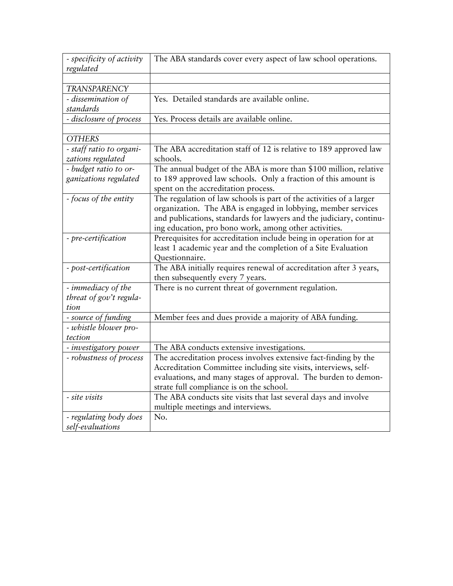| - specificity of activity<br>regulated                | The ABA standards cover every aspect of law school operations.                                                                                                                                                                                                       |
|-------------------------------------------------------|----------------------------------------------------------------------------------------------------------------------------------------------------------------------------------------------------------------------------------------------------------------------|
|                                                       |                                                                                                                                                                                                                                                                      |
| TRANSPARENCY                                          |                                                                                                                                                                                                                                                                      |
| - dissemination of<br>standards                       | Yes. Detailed standards are available online.                                                                                                                                                                                                                        |
| - disclosure of process                               | Yes. Process details are available online.                                                                                                                                                                                                                           |
|                                                       |                                                                                                                                                                                                                                                                      |
| <b>OTHERS</b>                                         |                                                                                                                                                                                                                                                                      |
| - staff ratio to organi-<br>zations regulated         | The ABA accreditation staff of 12 is relative to 189 approved law<br>schools.                                                                                                                                                                                        |
| - budget ratio to or-<br>ganizations regulated        | The annual budget of the ABA is more than \$100 million, relative<br>to 189 approved law schools. Only a fraction of this amount is<br>spent on the accreditation process.                                                                                           |
| - focus of the entity                                 | The regulation of law schools is part of the activities of a larger<br>organization. The ABA is engaged in lobbying, member services<br>and publications, standards for lawyers and the judiciary, continu-<br>ing education, pro bono work, among other activities. |
| - pre-certification                                   | Prerequisites for accreditation include being in operation for at<br>least 1 academic year and the completion of a Site Evaluation<br>Questionnaire.                                                                                                                 |
| - post-certification                                  | The ABA initially requires renewal of accreditation after 3 years,<br>then subsequently every 7 years.                                                                                                                                                               |
| - immediacy of the<br>threat of gov't regula-<br>tion | There is no current threat of government regulation.                                                                                                                                                                                                                 |
| - source of funding                                   | Member fees and dues provide a majority of ABA funding.                                                                                                                                                                                                              |
| - whistle blower pro-<br>tection                      |                                                                                                                                                                                                                                                                      |
| - investigatory power                                 | The ABA conducts extensive investigations.                                                                                                                                                                                                                           |
| - robustness of process                               | The accreditation process involves extensive fact-finding by the<br>Accreditation Committee including site visits, interviews, self-<br>evaluations, and many stages of approval. The burden to demon-<br>strate full compliance is on the school.                   |
| - site visits                                         | The ABA conducts site visits that last several days and involve<br>multiple meetings and interviews.                                                                                                                                                                 |
| - regulating body does<br>self-evaluations            | No.                                                                                                                                                                                                                                                                  |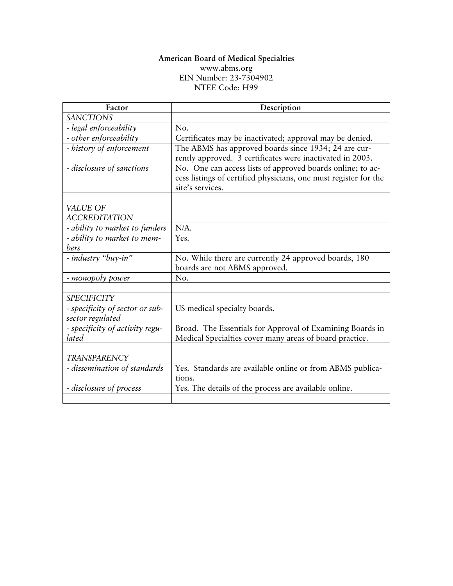#### **American Board of Medical Specialties**  [www.abms.org](http://www.abms.org/) EIN Number: 23-7304902 NTEE Code: H99

| Factor                                              | Description                                                                                                                                        |
|-----------------------------------------------------|----------------------------------------------------------------------------------------------------------------------------------------------------|
| <b>SANCTIONS</b>                                    |                                                                                                                                                    |
| - legal enforceability                              | No.                                                                                                                                                |
| - other enforceability                              | Certificates may be inactivated; approval may be denied.                                                                                           |
| - history of enforcement                            | The ABMS has approved boards since 1934; 24 are cur-<br>rently approved. 3 certificates were inactivated in 2003.                                  |
| - disclosure of sanctions                           | No. One can access lists of approved boards online; to ac-<br>cess listings of certified physicians, one must register for the<br>site's services. |
|                                                     |                                                                                                                                                    |
| VALUE OF<br><b>ACCREDITATION</b>                    |                                                                                                                                                    |
| - ability to market to funders                      | $N/A$ .                                                                                                                                            |
| - ability to market to mem-<br>bers                 | Yes.                                                                                                                                               |
| - industry "buy-in"                                 | No. While there are currently 24 approved boards, 180<br>boards are not ABMS approved.                                                             |
| - monopoly power                                    | No.                                                                                                                                                |
|                                                     |                                                                                                                                                    |
| <b>SPECIFICITY</b>                                  |                                                                                                                                                    |
| - specificity of sector or sub-<br>sector regulated | US medical specialty boards.                                                                                                                       |
| - specificity of activity regu-<br>lated            | Broad. The Essentials for Approval of Examining Boards in<br>Medical Specialties cover many areas of board practice.                               |
|                                                     |                                                                                                                                                    |
| <b>TRANSPARENCY</b>                                 |                                                                                                                                                    |
| - dissemination of standards                        | Yes. Standards are available online or from ABMS publica-<br>tions.                                                                                |
| - disclosure of process                             | Yes. The details of the process are available online.                                                                                              |
|                                                     |                                                                                                                                                    |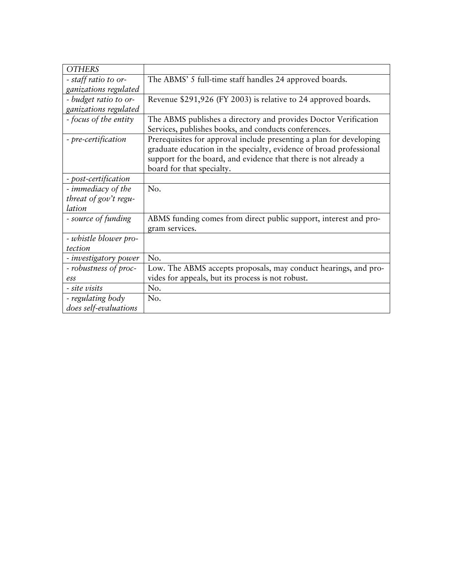| <b>OTHERS</b>         |                                                                                                                                                                                                                                            |
|-----------------------|--------------------------------------------------------------------------------------------------------------------------------------------------------------------------------------------------------------------------------------------|
| - staff ratio to or-  | The ABMS' 5 full-time staff handles 24 approved boards.                                                                                                                                                                                    |
| ganizations regulated |                                                                                                                                                                                                                                            |
| - budget ratio to or- | Revenue \$291,926 (FY 2003) is relative to 24 approved boards.                                                                                                                                                                             |
| ganizations regulated |                                                                                                                                                                                                                                            |
| - focus of the entity | The ABMS publishes a directory and provides Doctor Verification<br>Services, publishes books, and conducts conferences.                                                                                                                    |
| - pre-certification   | Prerequisites for approval include presenting a plan for developing<br>graduate education in the specialty, evidence of broad professional<br>support for the board, and evidence that there is not already a<br>board for that specialty. |
| - post-certification  |                                                                                                                                                                                                                                            |
| - immediacy of the    | No.                                                                                                                                                                                                                                        |
| threat of gov't regu- |                                                                                                                                                                                                                                            |
| lation                |                                                                                                                                                                                                                                            |
| - source of funding   | ABMS funding comes from direct public support, interest and pro-<br>gram services.                                                                                                                                                         |
| - whistle blower pro- |                                                                                                                                                                                                                                            |
| tection               |                                                                                                                                                                                                                                            |
| - investigatory power | No.                                                                                                                                                                                                                                        |
| - robustness of proc- | Low. The ABMS accepts proposals, may conduct hearings, and pro-                                                                                                                                                                            |
| ess                   | vides for appeals, but its process is not robust.                                                                                                                                                                                          |
| - site visits         | No.                                                                                                                                                                                                                                        |
| - regulating body     | No.                                                                                                                                                                                                                                        |
| does self-evaluations |                                                                                                                                                                                                                                            |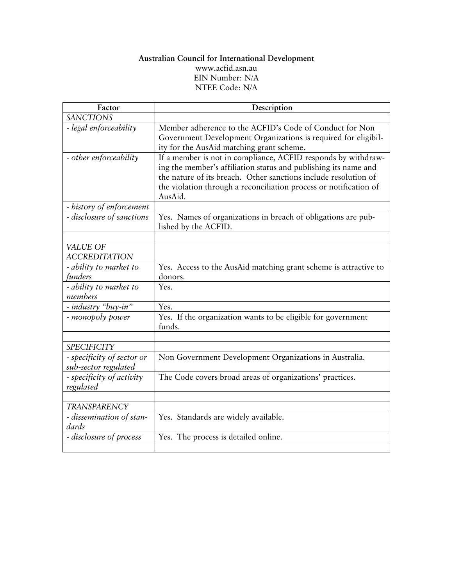## **Australian Council for International Development**  [www.acfid.asn.au](http://www.acfid.asn.au/) EIN Number: N/A NTEE Code: N/A

| Factor                                             | Description                                                                                                                        |
|----------------------------------------------------|------------------------------------------------------------------------------------------------------------------------------------|
| <b>SANCTIONS</b>                                   |                                                                                                                                    |
| - legal enforceability                             | Member adherence to the ACFID's Code of Conduct for Non                                                                            |
|                                                    | Government Development Organizations is required for eligibil-                                                                     |
|                                                    | ity for the AusAid matching grant scheme.                                                                                          |
| - other enforceability                             | If a member is not in compliance, ACFID responds by withdraw-                                                                      |
|                                                    | ing the member's affiliation status and publishing its name and<br>the nature of its breach. Other sanctions include resolution of |
|                                                    | the violation through a reconciliation process or notification of                                                                  |
|                                                    | AusAid.                                                                                                                            |
| - history of enforcement                           |                                                                                                                                    |
| - disclosure of sanctions                          | Yes. Names of organizations in breach of obligations are pub-                                                                      |
|                                                    | lished by the ACFID.                                                                                                               |
|                                                    |                                                                                                                                    |
| VALUE OF                                           |                                                                                                                                    |
| <b>ACCREDITATION</b>                               |                                                                                                                                    |
| - ability to market to                             | Yes. Access to the AusAid matching grant scheme is attractive to                                                                   |
| funders                                            | donors.                                                                                                                            |
| - ability to market to                             | Yes.                                                                                                                               |
| members                                            |                                                                                                                                    |
| - industry "buy-in"                                | Yes.                                                                                                                               |
| - monopoly power                                   | Yes. If the organization wants to be eligible for government<br>funds.                                                             |
|                                                    |                                                                                                                                    |
| <b>SPECIFICITY</b>                                 |                                                                                                                                    |
| - specificity of sector or<br>sub-sector regulated | Non Government Development Organizations in Australia.                                                                             |
| - specificity of activity                          | The Code covers broad areas of organizations' practices.                                                                           |
| regulated                                          |                                                                                                                                    |
| <b>TRANSPARENCY</b>                                |                                                                                                                                    |
| - dissemination of stan-                           | Yes. Standards are widely available.                                                                                               |
| dards                                              |                                                                                                                                    |
| - disclosure of process                            | Yes. The process is detailed online.                                                                                               |
|                                                    |                                                                                                                                    |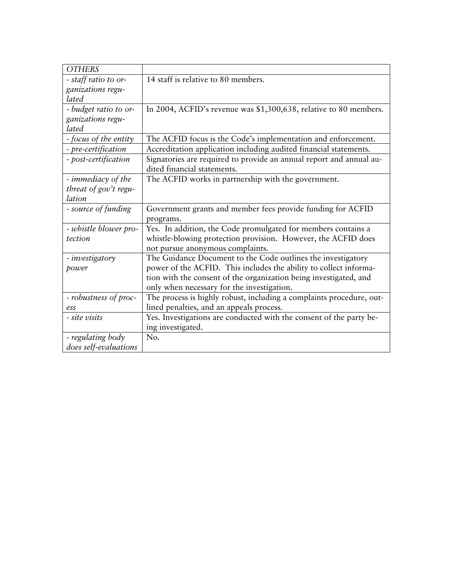| <b>OTHERS</b>         |                                                                      |
|-----------------------|----------------------------------------------------------------------|
| - staff ratio to or-  | 14 staff is relative to 80 members.                                  |
| ganizations regu-     |                                                                      |
| lated                 |                                                                      |
| - budget ratio to or- | In 2004, ACFID's revenue was \$1,300,638, relative to 80 members.    |
| ganizations regu-     |                                                                      |
| lated                 |                                                                      |
| - focus of the entity | The ACFID focus is the Code's implementation and enforcement.        |
| - pre-certification   | Accreditation application including audited financial statements.    |
| - post-certification  | Signatories are required to provide an annual report and annual au-  |
|                       | dited financial statements.                                          |
| - immediacy of the    | The ACFID works in partnership with the government.                  |
| threat of gov't regu- |                                                                      |
| lation                |                                                                      |
| - source of funding   | Government grants and member fees provide funding for ACFID          |
|                       | programs.                                                            |
| - whistle blower pro- | Yes. In addition, the Code promulgated for members contains a        |
| tection               | whistle-blowing protection provision. However, the ACFID does        |
|                       | not pursue anonymous complaints.                                     |
| - investigatory       | The Guidance Document to the Code outlines the investigatory         |
| power                 | power of the ACFID. This includes the ability to collect informa-    |
|                       | tion with the consent of the organization being investigated, and    |
|                       | only when necessary for the investigation.                           |
| - robustness of proc- | The process is highly robust, including a complaints procedure, out- |
| ess                   | lined penalties, and an appeals process.                             |
| - site visits         | Yes. Investigations are conducted with the consent of the party be-  |
|                       | ing investigated.                                                    |
| - regulating body     | No.                                                                  |
| does self-evaluations |                                                                      |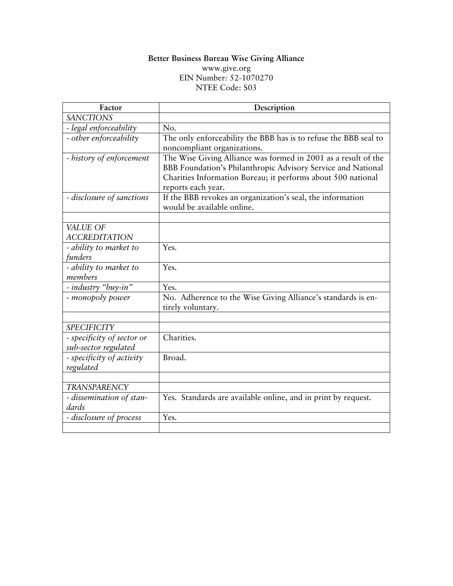# **Better Business Bureau Wise Giving Alliance**

[www.give.org](http://www.give.org/) EIN Number: 52-1070270 NTEE Code: S03

| Factor                                 | Description                                                                        |
|----------------------------------------|------------------------------------------------------------------------------------|
| <b>SANCTIONS</b>                       |                                                                                    |
| - legal enforceability                 | No.                                                                                |
| - other enforceability                 | The only enforceability the BBB has is to refuse the BBB seal to                   |
|                                        | noncompliant organizations.                                                        |
| - history of enforcement               | The Wise Giving Alliance was formed in 2001 as a result of the                     |
|                                        | BBB Foundation's Philanthropic Advisory Service and National                       |
|                                        | Charities Information Bureau; it performs about 500 national<br>reports each year. |
| - disclosure of sanctions              | If the BBB revokes an organization's seal, the information                         |
|                                        | would be available online.                                                         |
|                                        |                                                                                    |
| VALUE OF                               |                                                                                    |
| <b>ACCREDITATION</b>                   |                                                                                    |
| - ability to market to                 | Yes.                                                                               |
| funders                                |                                                                                    |
| - ability to market to                 | Yes.                                                                               |
| members                                |                                                                                    |
| - industry "buy-in"                    | Yes.                                                                               |
| - monopoly power                       | No. Adherence to the Wise Giving Alliance's standards is en-<br>tirely voluntary.  |
|                                        |                                                                                    |
| <b>SPECIFICITY</b>                     |                                                                                    |
| - specificity of sector or             | Charities.                                                                         |
| sub-sector regulated                   |                                                                                    |
| - specificity of activity<br>regulated | Broad.                                                                             |
|                                        |                                                                                    |
| <b>TRANSPARENCY</b>                    |                                                                                    |
| - dissemination of stan-<br>dards      | Yes. Standards are available online, and in print by request.                      |
| - disclosure of process                | Yes.                                                                               |
|                                        |                                                                                    |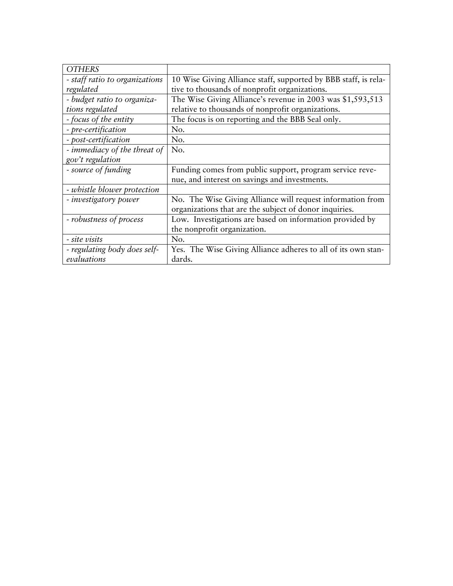| <b>OTHERS</b>                  |                                                                 |
|--------------------------------|-----------------------------------------------------------------|
| - staff ratio to organizations | 10 Wise Giving Alliance staff, supported by BBB staff, is rela- |
| regulated                      | tive to thousands of nonprofit organizations.                   |
| - budget ratio to organiza-    | The Wise Giving Alliance's revenue in 2003 was \$1,593,513      |
| tions regulated                | relative to thousands of nonprofit organizations.               |
| - focus of the entity          | The focus is on reporting and the BBB Seal only.                |
| - pre-certification            | No.                                                             |
| - post-certification           | No.                                                             |
| - immediacy of the threat of   | No.                                                             |
| gov't regulation               |                                                                 |
| - source of funding            | Funding comes from public support, program service reve-        |
|                                | nue, and interest on savings and investments.                   |
| - whistle blower protection    |                                                                 |
| - investigatory power          | No. The Wise Giving Alliance will request information from      |
|                                | organizations that are the subject of donor inquiries.          |
| - robustness of process        | Low. Investigations are based on information provided by        |
|                                | the nonprofit organization.                                     |
| - site visits                  | No.                                                             |
| - regulating body does self-   | Yes. The Wise Giving Alliance adheres to all of its own stan-   |
| evaluations                    | dards.                                                          |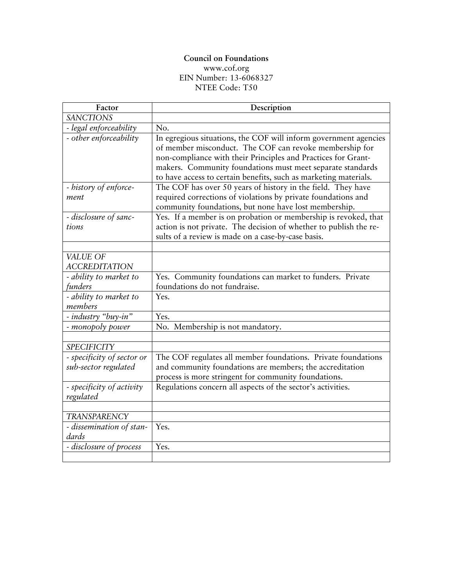#### **Council on Foundations**  [www.cof.org](http://www.cof.org/) EIN Number: 13-6068327 NTEE Code: T50

| Factor                                             | Description                                                                                                                                                                                                                                                                                                                    |
|----------------------------------------------------|--------------------------------------------------------------------------------------------------------------------------------------------------------------------------------------------------------------------------------------------------------------------------------------------------------------------------------|
| <b>SANCTIONS</b>                                   |                                                                                                                                                                                                                                                                                                                                |
| - legal enforceability                             | No.                                                                                                                                                                                                                                                                                                                            |
| - other enforceability                             | In egregious situations, the COF will inform government agencies<br>of member misconduct. The COF can revoke membership for<br>non-compliance with their Principles and Practices for Grant-<br>makers. Community foundations must meet separate standards<br>to have access to certain benefits, such as marketing materials. |
| - history of enforce-                              | The COF has over 50 years of history in the field. They have                                                                                                                                                                                                                                                                   |
| ment                                               | required corrections of violations by private foundations and<br>community foundations, but none have lost membership.                                                                                                                                                                                                         |
| - disclosure of sanc-                              | Yes. If a member is on probation or membership is revoked, that                                                                                                                                                                                                                                                                |
| tions                                              | action is not private. The decision of whether to publish the re-                                                                                                                                                                                                                                                              |
|                                                    | sults of a review is made on a case-by-case basis.                                                                                                                                                                                                                                                                             |
|                                                    |                                                                                                                                                                                                                                                                                                                                |
| <b>VALUE OF</b>                                    |                                                                                                                                                                                                                                                                                                                                |
| <b>ACCREDITATION</b>                               | Yes. Community foundations can market to funders. Private                                                                                                                                                                                                                                                                      |
| - ability to market to<br>funders                  | foundations do not fundraise.                                                                                                                                                                                                                                                                                                  |
| - ability to market to                             | Yes.                                                                                                                                                                                                                                                                                                                           |
| members                                            |                                                                                                                                                                                                                                                                                                                                |
| - industry "buy-in"                                | Yes.                                                                                                                                                                                                                                                                                                                           |
| - monopoly power                                   | No. Membership is not mandatory.                                                                                                                                                                                                                                                                                               |
|                                                    |                                                                                                                                                                                                                                                                                                                                |
| <b>SPECIFICITY</b>                                 |                                                                                                                                                                                                                                                                                                                                |
| - specificity of sector or<br>sub-sector regulated | The COF regulates all member foundations. Private foundations<br>and community foundations are members; the accreditation<br>process is more stringent for community foundations.                                                                                                                                              |
| - specificity of activity                          | Regulations concern all aspects of the sector's activities.                                                                                                                                                                                                                                                                    |
| regulated                                          |                                                                                                                                                                                                                                                                                                                                |
|                                                    |                                                                                                                                                                                                                                                                                                                                |
| <b>TRANSPARENCY</b>                                |                                                                                                                                                                                                                                                                                                                                |
| - dissemination of stan-<br>dards                  | Yes.                                                                                                                                                                                                                                                                                                                           |
| - disclosure of process                            | Yes.                                                                                                                                                                                                                                                                                                                           |
|                                                    |                                                                                                                                                                                                                                                                                                                                |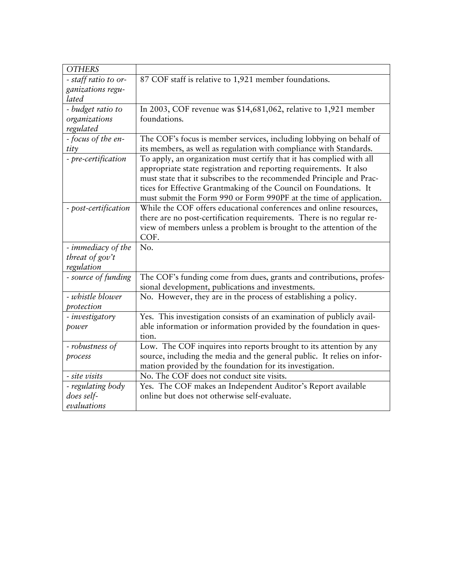| <b>OTHERS</b>             |                                                                                                                                                                                                                                                                                                                                                               |
|---------------------------|---------------------------------------------------------------------------------------------------------------------------------------------------------------------------------------------------------------------------------------------------------------------------------------------------------------------------------------------------------------|
| - staff ratio to or-      | 87 COF staff is relative to 1,921 member foundations.                                                                                                                                                                                                                                                                                                         |
| ganizations regu-         |                                                                                                                                                                                                                                                                                                                                                               |
| lated                     |                                                                                                                                                                                                                                                                                                                                                               |
| - budget ratio to         | In 2003, COF revenue was \$14,681,062, relative to 1,921 member                                                                                                                                                                                                                                                                                               |
| organizations             | foundations.                                                                                                                                                                                                                                                                                                                                                  |
| regulated                 |                                                                                                                                                                                                                                                                                                                                                               |
| - focus of the en-        | The COF's focus is member services, including lobbying on behalf of                                                                                                                                                                                                                                                                                           |
| $t$ <i>i</i> $t$ $\gamma$ | its members, as well as regulation with compliance with Standards.                                                                                                                                                                                                                                                                                            |
| - pre-certification       | To apply, an organization must certify that it has complied with all<br>appropriate state registration and reporting requirements. It also<br>must state that it subscribes to the recommended Principle and Prac-<br>tices for Effective Grantmaking of the Council on Foundations. It<br>must submit the Form 990 or Form 990PF at the time of application. |
| - post-certification      | While the COF offers educational conferences and online resources,                                                                                                                                                                                                                                                                                            |
|                           | there are no post-certification requirements. There is no regular re-                                                                                                                                                                                                                                                                                         |
|                           | view of members unless a problem is brought to the attention of the                                                                                                                                                                                                                                                                                           |
|                           | COF.                                                                                                                                                                                                                                                                                                                                                          |
| - immediacy of the        | No.                                                                                                                                                                                                                                                                                                                                                           |
| threat of $gov't$         |                                                                                                                                                                                                                                                                                                                                                               |
| regulation                |                                                                                                                                                                                                                                                                                                                                                               |
| - source of funding       | The COF's funding come from dues, grants and contributions, profes-<br>sional development, publications and investments.                                                                                                                                                                                                                                      |
| - whistle blower          | No. However, they are in the process of establishing a policy.                                                                                                                                                                                                                                                                                                |
| protection                |                                                                                                                                                                                                                                                                                                                                                               |
| - investigatory           | Yes. This investigation consists of an examination of publicly avail-                                                                                                                                                                                                                                                                                         |
| power                     | able information or information provided by the foundation in ques-                                                                                                                                                                                                                                                                                           |
|                           | tion.                                                                                                                                                                                                                                                                                                                                                         |
| - robustness of           | Low. The COF inquires into reports brought to its attention by any                                                                                                                                                                                                                                                                                            |
| process                   | source, including the media and the general public. It relies on infor-                                                                                                                                                                                                                                                                                       |
|                           | mation provided by the foundation for its investigation.                                                                                                                                                                                                                                                                                                      |
| - site visits             | No. The COF does not conduct site visits.                                                                                                                                                                                                                                                                                                                     |
| - regulating body         | Yes. The COF makes an Independent Auditor's Report available                                                                                                                                                                                                                                                                                                  |
| does self-                | online but does not otherwise self-evaluate.                                                                                                                                                                                                                                                                                                                  |
| evaluations               |                                                                                                                                                                                                                                                                                                                                                               |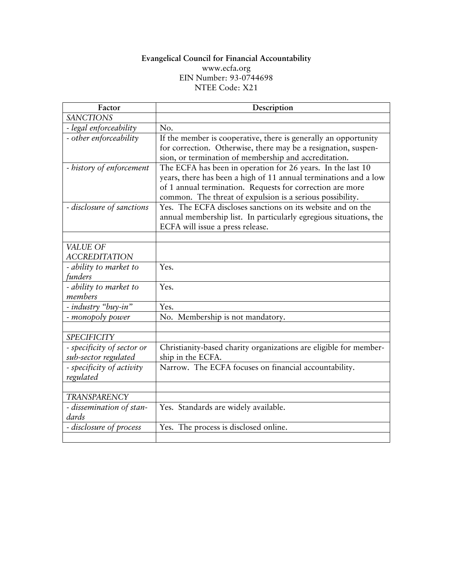#### **Evangelical Council for Financial Accountability**  [www.ecfa.org](http://www.ecfa.org/) EIN Number: 93-0744698 NTEE Code: X21

| Factor                                             | Description                                                                                                                                                                                                                                               |
|----------------------------------------------------|-----------------------------------------------------------------------------------------------------------------------------------------------------------------------------------------------------------------------------------------------------------|
| <b>SANCTIONS</b>                                   |                                                                                                                                                                                                                                                           |
| - legal enforceability                             | No.                                                                                                                                                                                                                                                       |
| - other enforceability                             | If the member is cooperative, there is generally an opportunity<br>for correction. Otherwise, there may be a resignation, suspen-<br>sion, or termination of membership and accreditation.                                                                |
| - history of enforcement                           | The ECFA has been in operation for 26 years. In the last 10<br>years, there has been a high of 11 annual terminations and a low<br>of 1 annual termination. Requests for correction are more<br>common. The threat of expulsion is a serious possibility. |
| - disclosure of sanctions                          | Yes. The ECFA discloses sanctions on its website and on the<br>annual membership list. In particularly egregious situations, the<br>ECFA will issue a press release.                                                                                      |
|                                                    |                                                                                                                                                                                                                                                           |
| VALUE OF<br><b>ACCREDITATION</b>                   |                                                                                                                                                                                                                                                           |
| - ability to market to<br>funders                  | Yes.                                                                                                                                                                                                                                                      |
| - ability to market to<br>members                  | Yes.                                                                                                                                                                                                                                                      |
| - industry "buy-in"                                | Yes.                                                                                                                                                                                                                                                      |
| - monopoly power                                   | No. Membership is not mandatory.                                                                                                                                                                                                                          |
|                                                    |                                                                                                                                                                                                                                                           |
| <b>SPECIFICITY</b>                                 |                                                                                                                                                                                                                                                           |
| - specificity of sector or<br>sub-sector regulated | Christianity-based charity organizations are eligible for member-<br>ship in the ECFA.                                                                                                                                                                    |
| - specificity of activity<br>regulated             | Narrow. The ECFA focuses on financial accountability.                                                                                                                                                                                                     |
|                                                    |                                                                                                                                                                                                                                                           |
| <b>TRANSPARENCY</b>                                |                                                                                                                                                                                                                                                           |
| - dissemination of stan-<br>dards                  | Yes. Standards are widely available.                                                                                                                                                                                                                      |
| - disclosure of process                            | Yes. The process is disclosed online.                                                                                                                                                                                                                     |
|                                                    |                                                                                                                                                                                                                                                           |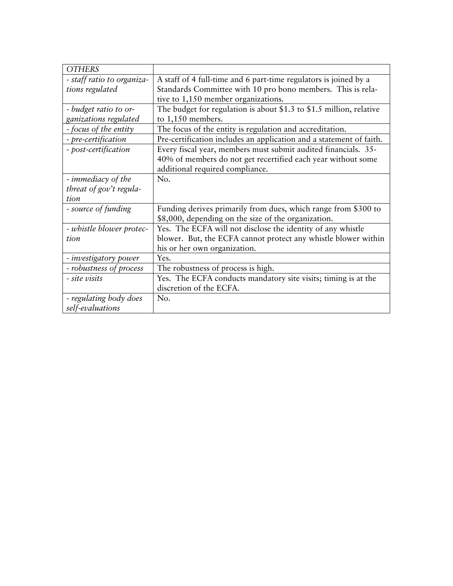| <b>OTHERS</b>              |                                                                     |
|----------------------------|---------------------------------------------------------------------|
| - staff ratio to organiza- | A staff of 4 full-time and 6 part-time regulators is joined by a    |
| tions regulated            | Standards Committee with 10 pro bono members. This is rela-         |
|                            | tive to 1,150 member organizations.                                 |
| - budget ratio to or-      | The budget for regulation is about \$1.3 to \$1.5 million, relative |
| ganizations regulated      | to 1,150 members.                                                   |
| - focus of the entity      | The focus of the entity is regulation and accreditation.            |
| - pre-certification        | Pre-certification includes an application and a statement of faith. |
| - post-certification       | Every fiscal year, members must submit audited financials. 35-      |
|                            | 40% of members do not get recertified each year without some        |
|                            | additional required compliance.                                     |
| - immediacy of the         | No.                                                                 |
| threat of gov't regula-    |                                                                     |
| tion                       |                                                                     |
| - source of funding        | Funding derives primarily from dues, which range from \$300 to      |
|                            | \$8,000, depending on the size of the organization.                 |
| - whistle blower protec-   | Yes. The ECFA will not disclose the identity of any whistle         |
| tion                       | blower. But, the ECFA cannot protect any whistle blower within      |
|                            | his or her own organization.                                        |
| - investigatory power      | Yes.                                                                |
| - robustness of process    | The robustness of process is high.                                  |
| - site visits              | Yes. The ECFA conducts mandatory site visits; timing is at the      |
|                            | discretion of the ECFA.                                             |
| - regulating body does     | No.                                                                 |
| self-evaluations           |                                                                     |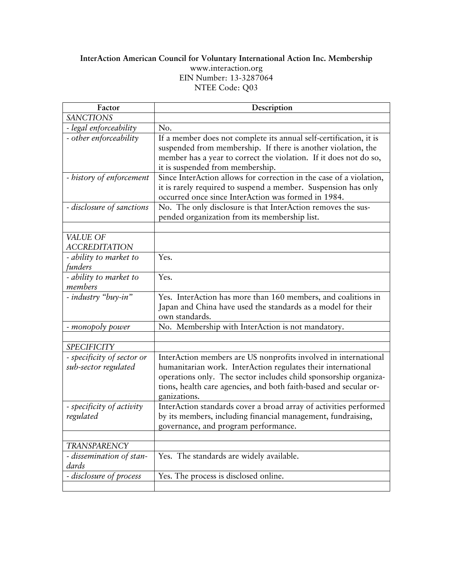## **InterAction American Council for Voluntary International Action Inc. Membership**  [www.interaction.org](http://www.interaction.org/) EIN Number: 13-3287064 NTEE Code: Q03

| Factor                                             | Description                                                                                                                                                                                                                                                                              |
|----------------------------------------------------|------------------------------------------------------------------------------------------------------------------------------------------------------------------------------------------------------------------------------------------------------------------------------------------|
| <b>SANCTIONS</b>                                   |                                                                                                                                                                                                                                                                                          |
| - legal enforceability                             | No.                                                                                                                                                                                                                                                                                      |
| - other enforceability                             | If a member does not complete its annual self-certification, it is<br>suspended from membership. If there is another violation, the<br>member has a year to correct the violation. If it does not do so,<br>it is suspended from membership.                                             |
| - history of enforcement                           | Since InterAction allows for correction in the case of a violation,<br>it is rarely required to suspend a member. Suspension has only<br>occurred once since InterAction was formed in 1984.                                                                                             |
| - disclosure of sanctions                          | No. The only disclosure is that InterAction removes the sus-<br>pended organization from its membership list.                                                                                                                                                                            |
|                                                    |                                                                                                                                                                                                                                                                                          |
| VALUE OF<br><b>ACCREDITATION</b>                   |                                                                                                                                                                                                                                                                                          |
| - ability to market to<br>funders                  | Yes.                                                                                                                                                                                                                                                                                     |
| - ability to market to<br>members                  | Yes.                                                                                                                                                                                                                                                                                     |
| - industry "buy-in"                                | Yes. InterAction has more than 160 members, and coalitions in<br>Japan and China have used the standards as a model for their<br>own standards.                                                                                                                                          |
| - monopoly power                                   | No. Membership with InterAction is not mandatory.                                                                                                                                                                                                                                        |
|                                                    |                                                                                                                                                                                                                                                                                          |
| <b>SPECIFICITY</b>                                 |                                                                                                                                                                                                                                                                                          |
| - specificity of sector or<br>sub-sector regulated | InterAction members are US nonprofits involved in international<br>humanitarian work. InterAction regulates their international<br>operations only. The sector includes child sponsorship organiza-<br>tions, health care agencies, and both faith-based and secular or-<br>ganizations. |
| - specificity of activity<br>regulated             | InterAction standards cover a broad array of activities performed<br>by its members, including financial management, fundraising,<br>governance, and program performance.                                                                                                                |
|                                                    |                                                                                                                                                                                                                                                                                          |
| <b>TRANSPARENCY</b>                                |                                                                                                                                                                                                                                                                                          |
| - dissemination of stan-<br>dards                  | Yes. The standards are widely available.                                                                                                                                                                                                                                                 |
| - disclosure of process                            | Yes. The process is disclosed online.                                                                                                                                                                                                                                                    |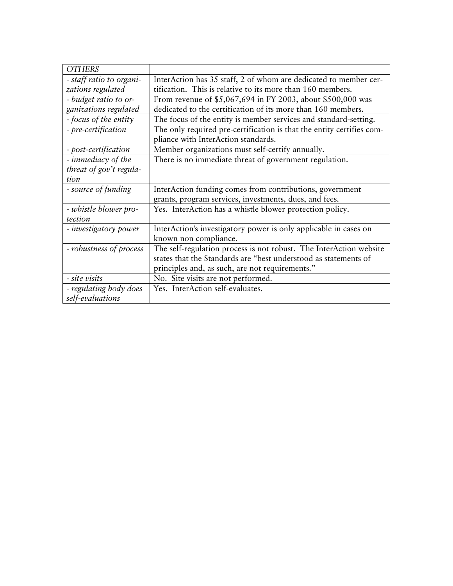| <b>OTHERS</b>            |                                                                       |
|--------------------------|-----------------------------------------------------------------------|
| - staff ratio to organi- | InterAction has 35 staff, 2 of whom are dedicated to member cer-      |
| zations regulated        | tification. This is relative to its more than 160 members.            |
| - budget ratio to or-    | From revenue of \$5,067,694 in FY 2003, about \$500,000 was           |
| ganizations regulated    | dedicated to the certification of its more than 160 members.          |
| - focus of the entity    | The focus of the entity is member services and standard-setting.      |
| - pre-certification      | The only required pre-certification is that the entity certifies com- |
|                          | pliance with InterAction standards.                                   |
| - post-certification     | Member organizations must self-certify annually.                      |
| - immediacy of the       | There is no immediate threat of government regulation.                |
| threat of gov't regula-  |                                                                       |
| tion                     |                                                                       |
| - source of funding      | InterAction funding comes from contributions, government              |
|                          | grants, program services, investments, dues, and fees.                |
| - whistle blower pro-    | Yes. InterAction has a whistle blower protection policy.              |
| tection                  |                                                                       |
| - investigatory power    | InterAction's investigatory power is only applicable in cases on      |
|                          | known non compliance.                                                 |
| - robustness of process  | The self-regulation process is not robust. The InterAction website    |
|                          | states that the Standards are "best understood as statements of       |
|                          | principles and, as such, are not requirements."                       |
| - site visits            | No. Site visits are not performed.                                    |
| - regulating body does   |                                                                       |
|                          | Yes. InterAction self-evaluates.                                      |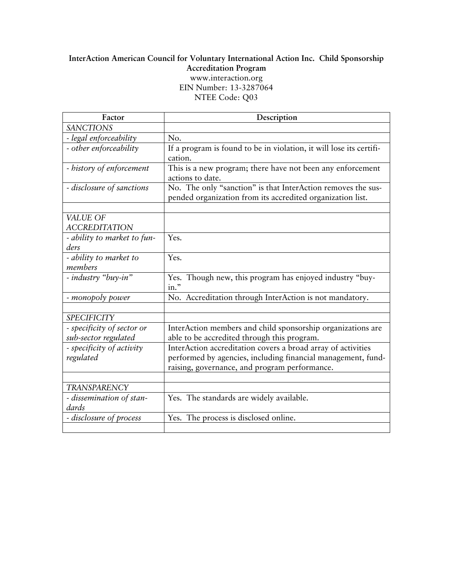## **InterAction American Council for Voluntary International Action Inc. Child Sponsorship Accreditation Program**  [www.interaction.org](http://www.interaction.org/) EIN Number: 13-3287064 NTEE Code: Q03

| Factor                      | Description                                                         |
|-----------------------------|---------------------------------------------------------------------|
| <b>SANCTIONS</b>            |                                                                     |
| - legal enforceability      | No.                                                                 |
| - other enforceability      | If a program is found to be in violation, it will lose its certifi- |
|                             | cation.                                                             |
| - history of enforcement    | This is a new program; there have not been any enforcement          |
|                             | actions to date.                                                    |
| - disclosure of sanctions   | No. The only "sanction" is that InterAction removes the sus-        |
|                             | pended organization from its accredited organization list.          |
|                             |                                                                     |
| VALUE OF                    |                                                                     |
| <b>ACCREDITATION</b>        |                                                                     |
| - ability to market to fun- | Yes.                                                                |
| ders                        |                                                                     |
| - ability to market to      | Yes.                                                                |
| members                     |                                                                     |
| - industry "buy-in"         | Yes. Though new, this program has enjoyed industry "buy-            |
|                             | in."                                                                |
| - monopoly power            | No. Accreditation through InterAction is not mandatory.             |
|                             |                                                                     |
| <b>SPECIFICITY</b>          |                                                                     |
| - specificity of sector or  | InterAction members and child sponsorship organizations are         |
| sub-sector regulated        | able to be accredited through this program.                         |
| - specificity of activity   | InterAction accreditation covers a broad array of activities        |
| regulated                   | performed by agencies, including financial management, fund-        |
|                             | raising, governance, and program performance.                       |
|                             |                                                                     |
| <b>TRANSPARENCY</b>         |                                                                     |
| - dissemination of stan-    | Yes. The standards are widely available.                            |
| dards                       |                                                                     |
| - disclosure of process     | Yes. The process is disclosed online.                               |
|                             |                                                                     |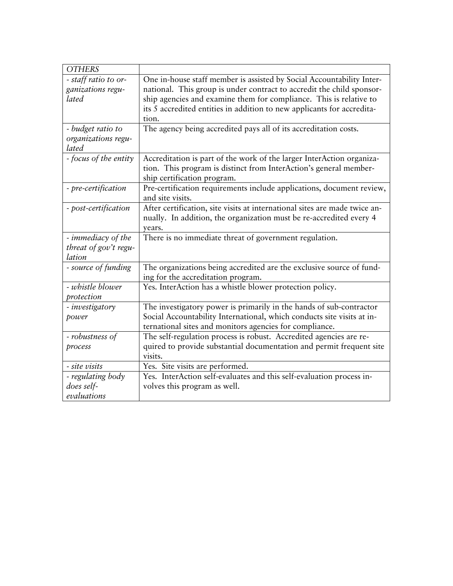| <b>OTHERS</b>         |                                                                            |
|-----------------------|----------------------------------------------------------------------------|
| - staff ratio to or-  | One in-house staff member is assisted by Social Accountability Inter-      |
| ganizations regu-     | national. This group is under contract to accredit the child sponsor-      |
| lated                 | ship agencies and examine them for compliance. This is relative to         |
|                       | its 5 accredited entities in addition to new applicants for accredita-     |
|                       | tion.                                                                      |
| - budget ratio to     | The agency being accredited pays all of its accreditation costs.           |
| organizations regu-   |                                                                            |
| lated                 |                                                                            |
| - focus of the entity | Accreditation is part of the work of the larger InterAction organiza-      |
|                       | tion. This program is distinct from InterAction's general member-          |
|                       | ship certification program.                                                |
| - pre-certification   | Pre-certification requirements include applications, document review,      |
|                       | and site visits.                                                           |
| - post-certification  | After certification, site visits at international sites are made twice an- |
|                       | nually. In addition, the organization must be re-accredited every 4        |
|                       | years.                                                                     |
| - immediacy of the    | There is no immediate threat of government regulation.                     |
| threat of gov't regu- |                                                                            |
| lation                |                                                                            |
| - source of funding   | The organizations being accredited are the exclusive source of fund-       |
|                       | ing for the accreditation program.                                         |
| - whistle blower      | Yes. InterAction has a whistle blower protection policy.                   |
| protection            |                                                                            |
| - investigatory       | The investigatory power is primarily in the hands of sub-contractor        |
| power                 | Social Accountability International, which conducts site visits at in-     |
|                       |                                                                            |
|                       | ternational sites and monitors agencies for compliance.                    |
| - robustness of       | The self-regulation process is robust. Accredited agencies are re-         |
| process               | quired to provide substantial documentation and permit frequent site       |
|                       | visits.                                                                    |
| - site visits         | Yes. Site visits are performed.                                            |
| - regulating body     | Yes. InterAction self-evaluates and this self-evaluation process in-       |
| does self-            | volves this program as well.                                               |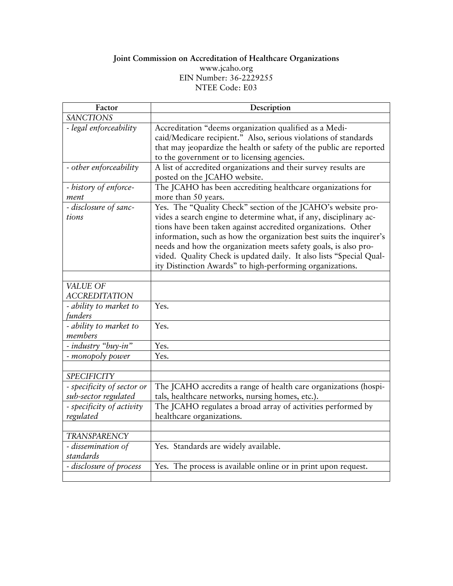## **Joint Commission on Accreditation of Healthcare Organizations**  [www.jcaho.org](http://www.jcaho.org/)

EIN Number: 36-2229255

NTEE Code: E03

| Factor                                             | Description                                                                                                                                                                                                                                                                                                                                                                                                                                                                      |
|----------------------------------------------------|----------------------------------------------------------------------------------------------------------------------------------------------------------------------------------------------------------------------------------------------------------------------------------------------------------------------------------------------------------------------------------------------------------------------------------------------------------------------------------|
| <b>SANCTIONS</b>                                   |                                                                                                                                                                                                                                                                                                                                                                                                                                                                                  |
| - legal enforceability                             | Accreditation "deems organization qualified as a Medi-<br>caid/Medicare recipient." Also, serious violations of standards<br>that may jeopardize the health or safety of the public are reported<br>to the government or to licensing agencies.                                                                                                                                                                                                                                  |
| - other enforceability                             | A list of accredited organizations and their survey results are<br>posted on the JCAHO website.                                                                                                                                                                                                                                                                                                                                                                                  |
| - history of enforce-<br>ment                      | The JCAHO has been accrediting healthcare organizations for<br>more than 50 years.                                                                                                                                                                                                                                                                                                                                                                                               |
| - disclosure of sanc-<br>tions                     | Yes. The "Quality Check" section of the JCAHO's website pro-<br>vides a search engine to determine what, if any, disciplinary ac-<br>tions have been taken against accredited organizations. Other<br>information, such as how the organization best suits the inquirer's<br>needs and how the organization meets safety goals, is also pro-<br>vided. Quality Check is updated daily. It also lists "Special Qual-<br>ity Distinction Awards" to high-performing organizations. |
|                                                    |                                                                                                                                                                                                                                                                                                                                                                                                                                                                                  |
| VALUE OF<br><b>ACCREDITATION</b>                   |                                                                                                                                                                                                                                                                                                                                                                                                                                                                                  |
| - ability to market to<br>funders                  | Yes.                                                                                                                                                                                                                                                                                                                                                                                                                                                                             |
| - ability to market to<br>members                  | Yes.                                                                                                                                                                                                                                                                                                                                                                                                                                                                             |
| - industry "buy-in"                                | Yes.                                                                                                                                                                                                                                                                                                                                                                                                                                                                             |
| - monopoly power                                   | Yes.                                                                                                                                                                                                                                                                                                                                                                                                                                                                             |
| <b>SPECIFICITY</b>                                 |                                                                                                                                                                                                                                                                                                                                                                                                                                                                                  |
| - specificity of sector or<br>sub-sector regulated | The JCAHO accredits a range of health care organizations (hospi-<br>tals, healthcare networks, nursing homes, etc.).                                                                                                                                                                                                                                                                                                                                                             |
| - specificity of activity<br>regulated             | The JCAHO regulates a broad array of activities performed by<br>healthcare organizations.                                                                                                                                                                                                                                                                                                                                                                                        |
| <b>TRANSPARENCY</b>                                |                                                                                                                                                                                                                                                                                                                                                                                                                                                                                  |
| - dissemination of<br>standards                    | Yes. Standards are widely available.                                                                                                                                                                                                                                                                                                                                                                                                                                             |
| - disclosure of process                            | Yes. The process is available online or in print upon request.                                                                                                                                                                                                                                                                                                                                                                                                                   |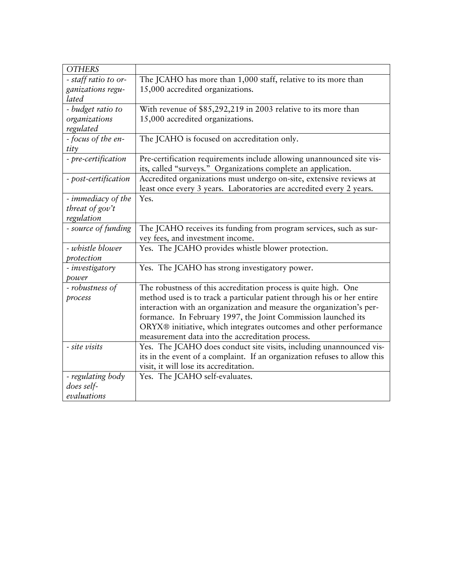| <b>OTHERS</b>        |                                                                                                                                        |
|----------------------|----------------------------------------------------------------------------------------------------------------------------------------|
| - staff ratio to or- | The JCAHO has more than 1,000 staff, relative to its more than                                                                         |
| ganizations regu-    | 15,000 accredited organizations.                                                                                                       |
| lated                |                                                                                                                                        |
| - budget ratio to    | With revenue of \$85,292,219 in 2003 relative to its more than                                                                         |
| organizations        | 15,000 accredited organizations.                                                                                                       |
| regulated            |                                                                                                                                        |
| - focus of the en-   | The JCAHO is focused on accreditation only.                                                                                            |
| tity                 |                                                                                                                                        |
| - pre-certification  | Pre-certification requirements include allowing unannounced site vis-<br>its, called "surveys." Organizations complete an application. |
| - post-certification | Accredited organizations must undergo on-site, extensive reviews at                                                                    |
|                      | least once every 3 years. Laboratories are accredited every 2 years.                                                                   |
| - immediacy of the   | Yes.                                                                                                                                   |
| threat of $gov't$    |                                                                                                                                        |
| regulation           |                                                                                                                                        |
| - source of funding  | The JCAHO receives its funding from program services, such as sur-                                                                     |
|                      | vey fees, and investment income.                                                                                                       |
| - whistle blower     | Yes. The JCAHO provides whistle blower protection.                                                                                     |
| protection           |                                                                                                                                        |
| - investigatory      | Yes. The JCAHO has strong investigatory power.                                                                                         |
| power                |                                                                                                                                        |
| - robustness of      | The robustness of this accreditation process is quite high. One                                                                        |
| process              | method used is to track a particular patient through his or her entire                                                                 |
|                      | interaction with an organization and measure the organization's per-                                                                   |
|                      | formance. In February 1997, the Joint Commission launched its                                                                          |
|                      | ORYX® initiative, which integrates outcomes and other performance                                                                      |
|                      | measurement data into the accreditation process.                                                                                       |
| - site visits        | Yes. The JCAHO does conduct site visits, including unannounced vis-                                                                    |
|                      | its in the event of a complaint. If an organization refuses to allow this                                                              |
|                      | visit, it will lose its accreditation.                                                                                                 |
| - regulating body    | Yes. The JCAHO self-evaluates.                                                                                                         |
| does self-           |                                                                                                                                        |
| evaluations          |                                                                                                                                        |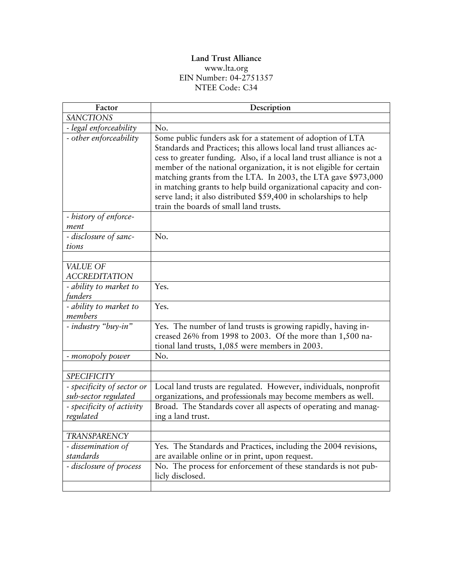### **Land Trust Alliance**  [www.lta.org](http://www.lta.org/) EIN Number: 04-2751357 NTEE Code: C34

| Description                                                                                                                                                                                                                                                                                                                                                                                                                                                                                                                            |
|----------------------------------------------------------------------------------------------------------------------------------------------------------------------------------------------------------------------------------------------------------------------------------------------------------------------------------------------------------------------------------------------------------------------------------------------------------------------------------------------------------------------------------------|
|                                                                                                                                                                                                                                                                                                                                                                                                                                                                                                                                        |
| No.                                                                                                                                                                                                                                                                                                                                                                                                                                                                                                                                    |
| Some public funders ask for a statement of adoption of LTA<br>Standards and Practices; this allows local land trust alliances ac-<br>cess to greater funding. Also, if a local land trust alliance is not a<br>member of the national organization, it is not eligible for certain<br>matching grants from the LTA. In 2003, the LTA gave \$973,000<br>in matching grants to help build organizational capacity and con-<br>serve land; it also distributed \$59,400 in scholarships to help<br>train the boards of small land trusts. |
|                                                                                                                                                                                                                                                                                                                                                                                                                                                                                                                                        |
| N <sub>o</sub> .                                                                                                                                                                                                                                                                                                                                                                                                                                                                                                                       |
|                                                                                                                                                                                                                                                                                                                                                                                                                                                                                                                                        |
|                                                                                                                                                                                                                                                                                                                                                                                                                                                                                                                                        |
| Yes.                                                                                                                                                                                                                                                                                                                                                                                                                                                                                                                                   |
| Yes.                                                                                                                                                                                                                                                                                                                                                                                                                                                                                                                                   |
| Yes. The number of land trusts is growing rapidly, having in-<br>creased 26% from 1998 to 2003. Of the more than 1,500 na-<br>tional land trusts, 1,085 were members in 2003.                                                                                                                                                                                                                                                                                                                                                          |
| No.                                                                                                                                                                                                                                                                                                                                                                                                                                                                                                                                    |
|                                                                                                                                                                                                                                                                                                                                                                                                                                                                                                                                        |
|                                                                                                                                                                                                                                                                                                                                                                                                                                                                                                                                        |
| Local land trusts are regulated. However, individuals, nonprofit<br>organizations, and professionals may become members as well.                                                                                                                                                                                                                                                                                                                                                                                                       |
| Broad. The Standards cover all aspects of operating and manag-<br>ing a land trust.                                                                                                                                                                                                                                                                                                                                                                                                                                                    |
|                                                                                                                                                                                                                                                                                                                                                                                                                                                                                                                                        |
|                                                                                                                                                                                                                                                                                                                                                                                                                                                                                                                                        |
| Yes. The Standards and Practices, including the 2004 revisions,<br>are available online or in print, upon request.                                                                                                                                                                                                                                                                                                                                                                                                                     |
| No. The process for enforcement of these standards is not pub-<br>licly disclosed.                                                                                                                                                                                                                                                                                                                                                                                                                                                     |
|                                                                                                                                                                                                                                                                                                                                                                                                                                                                                                                                        |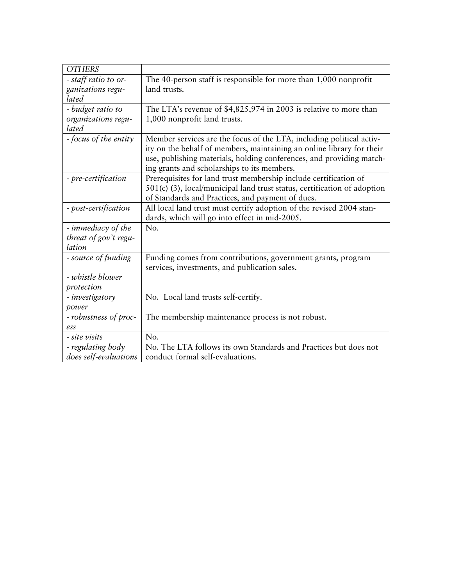| <b>OTHERS</b>         |                                                                          |
|-----------------------|--------------------------------------------------------------------------|
| - staff ratio to or-  | The 40-person staff is responsible for more than 1,000 nonprofit         |
| ganizations regu-     | land trusts.                                                             |
| lated                 |                                                                          |
| - budget ratio to     | The LTA's revenue of $$4,825,974$ in 2003 is relative to more than       |
| organizations regu-   | 1,000 nonprofit land trusts.                                             |
| lated                 |                                                                          |
| - focus of the entity | Member services are the focus of the LTA, including political activ-     |
|                       | ity on the behalf of members, maintaining an online library for their    |
|                       | use, publishing materials, holding conferences, and providing match-     |
|                       | ing grants and scholarships to its members.                              |
| - pre-certification   | Prerequisites for land trust membership include certification of         |
|                       | 501(c) (3), local/municipal land trust status, certification of adoption |
|                       | of Standards and Practices, and payment of dues.                         |
| - post-certification  | All local land trust must certify adoption of the revised 2004 stan-     |
|                       | dards, which will go into effect in mid-2005.                            |
| - immediacy of the    | No.                                                                      |
| threat of gov't regu- |                                                                          |
| lation                |                                                                          |
| - source of funding   | Funding comes from contributions, government grants, program             |
|                       | services, investments, and publication sales.                            |
| - whistle blower      |                                                                          |
| protection            |                                                                          |
| - investigatory       | No. Local land trusts self-certify.                                      |
| power                 |                                                                          |
| - robustness of proc- | The membership maintenance process is not robust.                        |
| ess                   |                                                                          |
| - site visits         | No.                                                                      |
| - regulating body     | No. The LTA follows its own Standards and Practices but does not         |
| does self-evaluations | conduct formal self-evaluations.                                         |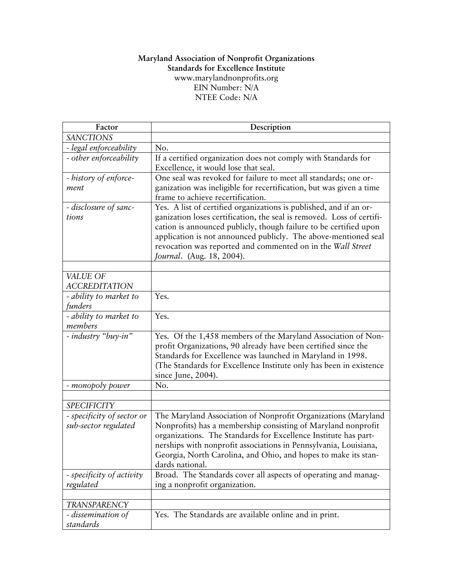#### **Maryland Association of Nonprofit Organizations Standards for Excellence Institute**  [www.marylandnonprofits.org](http://www.marylandnonprofits.org/) EIN Number: N/A NTEE Code: N/A

| Factor                                             | Description                                                                                                                                                                                                                                                                                                                                                                     |
|----------------------------------------------------|---------------------------------------------------------------------------------------------------------------------------------------------------------------------------------------------------------------------------------------------------------------------------------------------------------------------------------------------------------------------------------|
| <b>SANCTIONS</b>                                   |                                                                                                                                                                                                                                                                                                                                                                                 |
| - legal enforceability                             | No.                                                                                                                                                                                                                                                                                                                                                                             |
| - other enforceability                             | If a certified organization does not comply with Standards for<br>Excellence, it would lose that seal.                                                                                                                                                                                                                                                                          |
| - history of enforce-<br>ment                      | One seal was revoked for failure to meet all standards; one or-<br>ganization was ineligible for recertification, but was given a time<br>frame to achieve recertification.                                                                                                                                                                                                     |
| - disclosure of sanc-<br>tions                     | Yes. A list of certified organizations is published, and if an or-<br>ganization loses certification, the seal is removed. Loss of certifi-<br>cation is announced publicly, though failure to be certified upon<br>application is not announced publicly. The above-mentioned seal<br>revocation was reported and commented on in the Wall Street<br>Journal. (Aug. 18, 2004). |
| VALUE OF                                           |                                                                                                                                                                                                                                                                                                                                                                                 |
| <b>ACCREDITATION</b>                               |                                                                                                                                                                                                                                                                                                                                                                                 |
| - ability to market to<br>funders                  | Yes.                                                                                                                                                                                                                                                                                                                                                                            |
| - ability to market to<br>members                  | Yes.                                                                                                                                                                                                                                                                                                                                                                            |
| - industry "buy-in"                                | Yes. Of the 1,458 members of the Maryland Association of Non-<br>profit Organizations, 90 already have been certified since the<br>Standards for Excellence was launched in Maryland in 1998.<br>(The Standards for Excellence Institute only has been in existence<br>since June, 2004).                                                                                       |
| - monopoly power                                   | No.                                                                                                                                                                                                                                                                                                                                                                             |
|                                                    |                                                                                                                                                                                                                                                                                                                                                                                 |
| <b>SPECIFICITY</b>                                 |                                                                                                                                                                                                                                                                                                                                                                                 |
| - specificity of sector or<br>sub-sector regulated | The Maryland Association of Nonprofit Organizations (Maryland<br>Nonprofits) has a membership consisting of Maryland nonprofit<br>organizations. The Standards for Excellence Institute has part-<br>nerships with nonprofit associations in Pennsylvania, Louisiana,<br>Georgia, North Carolina, and Ohio, and hopes to make its stan-<br>dards national.                      |
| - specificity of activity<br>regulated             | Broad. The Standards cover all aspects of operating and manag-<br>ing a nonprofit organization.                                                                                                                                                                                                                                                                                 |
|                                                    |                                                                                                                                                                                                                                                                                                                                                                                 |
| <b>TRANSPARENCY</b>                                |                                                                                                                                                                                                                                                                                                                                                                                 |
| - dissemination of<br>standards                    | Yes. The Standards are available online and in print.                                                                                                                                                                                                                                                                                                                           |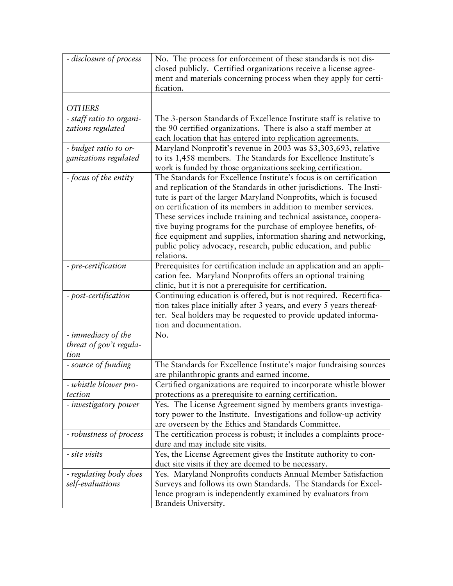| - disclosure of process  | No. The process for enforcement of these standards is not dis-       |
|--------------------------|----------------------------------------------------------------------|
|                          | closed publicly. Certified organizations receive a license agree-    |
|                          | ment and materials concerning process when they apply for certi-     |
|                          | fication.                                                            |
|                          |                                                                      |
| <b>OTHERS</b>            |                                                                      |
| - staff ratio to organi- | The 3-person Standards of Excellence Institute staff is relative to  |
| zations regulated        | the 90 certified organizations. There is also a staff member at      |
|                          | each location that has entered into replication agreements.          |
| - budget ratio to or-    | Maryland Nonprofit's revenue in 2003 was \$3,303,693, relative       |
| ganizations regulated    | to its 1,458 members. The Standards for Excellence Institute's       |
|                          | work is funded by those organizations seeking certification.         |
| - focus of the entity    | The Standards for Excellence Institute's focus is on certification   |
|                          | and replication of the Standards in other jurisdictions. The Insti-  |
|                          | tute is part of the larger Maryland Nonprofits, which is focused     |
|                          | on certification of its members in addition to member services.      |
|                          | These services include training and technical assistance, coopera-   |
|                          | tive buying programs for the purchase of employee benefits, of-      |
|                          | fice equipment and supplies, information sharing and networking,     |
|                          | public policy advocacy, research, public education, and public       |
|                          | relations.                                                           |
| - pre-certification      | Prerequisites for certification include an application and an appli- |
|                          | cation fee. Maryland Nonprofits offers an optional training          |
|                          | clinic, but it is not a prerequisite for certification.              |
| - post-certification     | Continuing education is offered, but is not required. Recertifica-   |
|                          | tion takes place initially after 3 years, and every 5 years thereaf- |
|                          | ter. Seal holders may be requested to provide updated informa-       |
|                          | tion and documentation.                                              |
| - immediacy of the       | No.                                                                  |
| threat of gov't regula-  |                                                                      |
| tion                     |                                                                      |
| - source of funding      | The Standards for Excellence Institute's major fundraising sources   |
|                          | are philanthropic grants and earned income.                          |
| - whistle blower pro-    | Certified organizations are required to incorporate whistle blower   |
| tection                  | protections as a prerequisite to earning certification.              |
| - investigatory power    | Yes. The License Agreement signed by members grants investiga-       |
|                          | tory power to the Institute. Investigations and follow-up activity   |
|                          | are overseen by the Ethics and Standards Committee.                  |
| - robustness of process  | The certification process is robust; it includes a complaints proce- |
|                          | dure and may include site visits.                                    |
| - site visits            | Yes, the License Agreement gives the Institute authority to con-     |
|                          | duct site visits if they are deemed to be necessary.                 |
| - regulating body does   | Yes. Maryland Nonprofits conducts Annual Member Satisfaction         |
| self-evaluations         | Surveys and follows its own Standards. The Standards for Excel-      |
|                          | lence program is independently examined by evaluators from           |
|                          | Brandeis University.                                                 |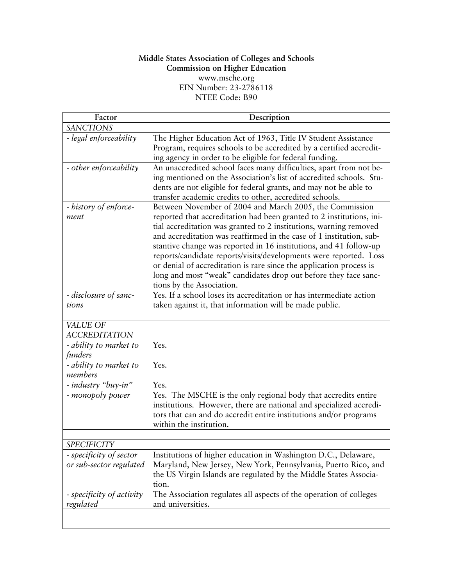#### **Middle States Association of Colleges and Schools Commission on Higher Education**  [www.msche.org](http://www.msche.org/) EIN Number: 23-2786118 NTEE Code: B90

| Factor                                             | Description                                                                                                                                                                                                                                                                                                                                                                                                                                                                                                                                                                                  |
|----------------------------------------------------|----------------------------------------------------------------------------------------------------------------------------------------------------------------------------------------------------------------------------------------------------------------------------------------------------------------------------------------------------------------------------------------------------------------------------------------------------------------------------------------------------------------------------------------------------------------------------------------------|
| <b>SANCTIONS</b>                                   |                                                                                                                                                                                                                                                                                                                                                                                                                                                                                                                                                                                              |
| - legal enforceability                             | The Higher Education Act of 1963, Title IV Student Assistance<br>Program, requires schools to be accredited by a certified accredit-<br>ing agency in order to be eligible for federal funding.                                                                                                                                                                                                                                                                                                                                                                                              |
| - other enforceability                             | An unaccredited school faces many difficulties, apart from not be-<br>ing mentioned on the Association's list of accredited schools. Stu-<br>dents are not eligible for federal grants, and may not be able to<br>transfer academic credits to other, accredited schools.                                                                                                                                                                                                                                                                                                                    |
| - history of enforce-<br>ment                      | Between November of 2004 and March 2005, the Commission<br>reported that accreditation had been granted to 2 institutions, ini-<br>tial accreditation was granted to 2 institutions, warning removed<br>and accreditation was reaffirmed in the case of 1 institution, sub-<br>stantive change was reported in 16 institutions, and 41 follow-up<br>reports/candidate reports/visits/developments were reported. Loss<br>or denial of accreditation is rare since the application process is<br>long and most "weak" candidates drop out before they face sanc-<br>tions by the Association. |
| - disclosure of sanc-<br>tions                     | Yes. If a school loses its accreditation or has intermediate action<br>taken against it, that information will be made public.                                                                                                                                                                                                                                                                                                                                                                                                                                                               |
|                                                    |                                                                                                                                                                                                                                                                                                                                                                                                                                                                                                                                                                                              |
| VALUE OF<br><b>ACCREDITATION</b>                   |                                                                                                                                                                                                                                                                                                                                                                                                                                                                                                                                                                                              |
| - ability to market to<br>funders                  | Yes.                                                                                                                                                                                                                                                                                                                                                                                                                                                                                                                                                                                         |
| - ability to market to<br>members                  | Yes.                                                                                                                                                                                                                                                                                                                                                                                                                                                                                                                                                                                         |
| - industry "buy-in"                                | Yes.                                                                                                                                                                                                                                                                                                                                                                                                                                                                                                                                                                                         |
| - monopoly power                                   | Yes. The MSCHE is the only regional body that accredits entire<br>institutions. However, there are national and specialized accredi-<br>tors that can and do accredit entire institutions and/or programs<br>within the institution.                                                                                                                                                                                                                                                                                                                                                         |
|                                                    |                                                                                                                                                                                                                                                                                                                                                                                                                                                                                                                                                                                              |
| <b>SPECIFICITY</b>                                 |                                                                                                                                                                                                                                                                                                                                                                                                                                                                                                                                                                                              |
| - specificity of sector<br>or sub-sector regulated | Institutions of higher education in Washington D.C., Delaware,<br>Maryland, New Jersey, New York, Pennsylvania, Puerto Rico, and<br>the US Virgin Islands are regulated by the Middle States Associa-<br>tion.                                                                                                                                                                                                                                                                                                                                                                               |
| - specificity of activity<br>regulated             | The Association regulates all aspects of the operation of colleges<br>and universities.                                                                                                                                                                                                                                                                                                                                                                                                                                                                                                      |
|                                                    |                                                                                                                                                                                                                                                                                                                                                                                                                                                                                                                                                                                              |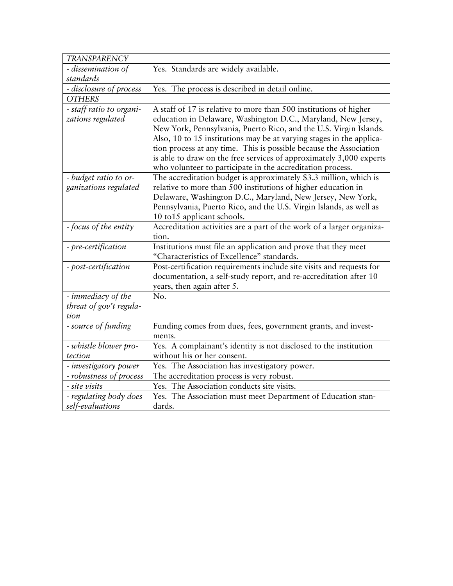| <b>TRANSPARENCY</b>                      |                                                                                                  |
|------------------------------------------|--------------------------------------------------------------------------------------------------|
| - dissemination of                       | Yes. Standards are widely available.                                                             |
| standards                                |                                                                                                  |
| - disclosure of process                  | Yes. The process is described in detail online.                                                  |
| <b>OTHERS</b>                            |                                                                                                  |
| - staff ratio to organi-                 | A staff of 17 is relative to more than 500 institutions of higher                                |
| zations regulated                        | education in Delaware, Washington D.C., Maryland, New Jersey,                                    |
|                                          | New York, Pennsylvania, Puerto Rico, and the U.S. Virgin Islands.                                |
|                                          | Also, 10 to 15 institutions may be at varying stages in the applica-                             |
|                                          | tion process at any time. This is possible because the Association                               |
|                                          | is able to draw on the free services of approximately 3,000 experts                              |
|                                          | who volunteer to participate in the accreditation process.                                       |
| - budget ratio to or-                    | The accreditation budget is approximately \$3.3 million, which is                                |
| ganizations regulated                    | relative to more than 500 institutions of higher education in                                    |
|                                          | Delaware, Washington D.C., Maryland, New Jersey, New York,                                       |
|                                          | Pennsylvania, Puerto Rico, and the U.S. Virgin Islands, as well as                               |
|                                          | 10 to 15 applicant schools.                                                                      |
| - focus of the entity                    | Accreditation activities are a part of the work of a larger organiza-                            |
|                                          | tion.                                                                                            |
| - pre-certification                      | Institutions must file an application and prove that they meet                                   |
|                                          | "Characteristics of Excellence" standards.                                                       |
| - post-certification                     | Post-certification requirements include site visits and requests for                             |
|                                          | documentation, a self-study report, and re-accreditation after 10                                |
|                                          | years, then again after 5.                                                                       |
| - immediacy of the                       | No.                                                                                              |
| threat of gov't regula-                  |                                                                                                  |
| tion                                     |                                                                                                  |
| - source of funding                      | Funding comes from dues, fees, government grants, and invest-                                    |
|                                          | ments.                                                                                           |
| - whistle blower pro-<br>tection         | Yes. A complainant's identity is not disclosed to the institution<br>without his or her consent. |
|                                          | Yes. The Association has investigatory power.                                                    |
| - investigatory power                    |                                                                                                  |
| - robustness of process<br>- site visits | The accreditation process is very robust.<br>Yes. The Association conducts site visits.          |
|                                          |                                                                                                  |
| - regulating body does                   | Yes. The Association must meet Department of Education stan-                                     |
| self-evaluations                         | dards.                                                                                           |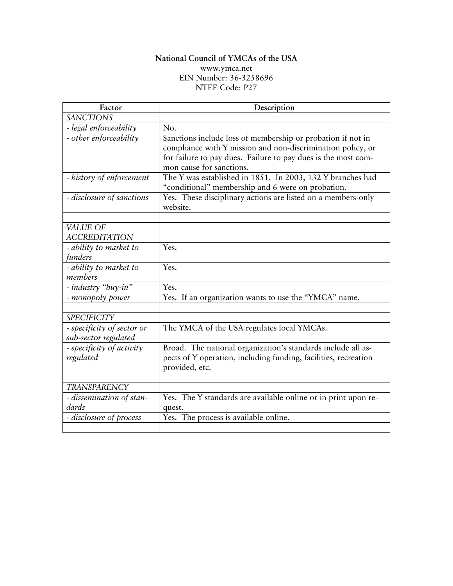# **National Council of YMCAs of the USA**

[www.ymca.net](http://www.ymca.net/) EIN Number: 36-3258696 NTEE Code: P27

| Factor                                             | Description                                                                                                                                                                                                             |
|----------------------------------------------------|-------------------------------------------------------------------------------------------------------------------------------------------------------------------------------------------------------------------------|
| <b>SANCTIONS</b>                                   |                                                                                                                                                                                                                         |
| - legal enforceability                             | No.                                                                                                                                                                                                                     |
| - other enforceability                             | Sanctions include loss of membership or probation if not in<br>compliance with Y mission and non-discrimination policy, or<br>for failure to pay dues. Failure to pay dues is the most com-<br>mon cause for sanctions. |
| - history of enforcement                           | The Y was established in 1851. In 2003, 132 Y branches had<br>"conditional" membership and 6 were on probation.                                                                                                         |
| - disclosure of sanctions                          | Yes. These disciplinary actions are listed on a members-only<br>website.                                                                                                                                                |
|                                                    |                                                                                                                                                                                                                         |
| VALUE OF<br><b>ACCREDITATION</b>                   |                                                                                                                                                                                                                         |
| - ability to market to<br>funders                  | Yes.                                                                                                                                                                                                                    |
| - ability to market to<br>members                  | Yes.                                                                                                                                                                                                                    |
| - industry "buy-in"                                | Yes.                                                                                                                                                                                                                    |
| - monopoly power                                   | Yes. If an organization wants to use the "YMCA" name.                                                                                                                                                                   |
| <b>SPECIFICITY</b>                                 |                                                                                                                                                                                                                         |
| - specificity of sector or<br>sub-sector regulated | The YMCA of the USA regulates local YMCAs.                                                                                                                                                                              |
| - specificity of activity<br>regulated             | Broad. The national organization's standards include all as-<br>pects of Y operation, including funding, facilities, recreation<br>provided, etc.                                                                       |
|                                                    |                                                                                                                                                                                                                         |
| <b>TRANSPARENCY</b>                                |                                                                                                                                                                                                                         |
| - dissemination of stan-<br>dards                  | Yes. The Y standards are available online or in print upon re-<br>quest.                                                                                                                                                |
| - disclosure of process                            | Yes. The process is available online.                                                                                                                                                                                   |
|                                                    |                                                                                                                                                                                                                         |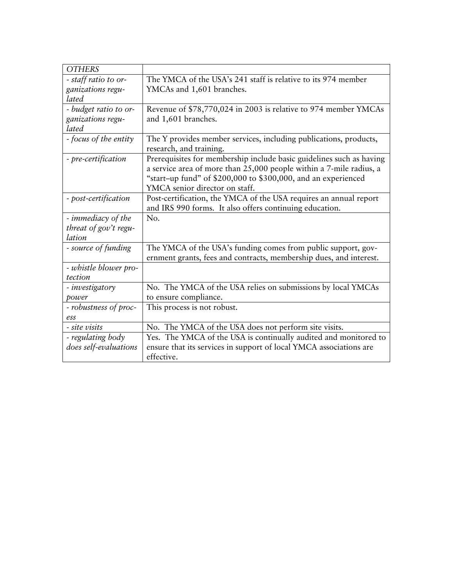| <b>OTHERS</b>         |                                                                                                                                                                                                                                                |
|-----------------------|------------------------------------------------------------------------------------------------------------------------------------------------------------------------------------------------------------------------------------------------|
| - staff ratio to or-  | The YMCA of the USA's 241 staff is relative to its 974 member                                                                                                                                                                                  |
| ganizations regu-     | YMCAs and 1,601 branches.                                                                                                                                                                                                                      |
| lated                 |                                                                                                                                                                                                                                                |
| - budget ratio to or- | Revenue of \$78,770,024 in 2003 is relative to 974 member YMCAs                                                                                                                                                                                |
| ganizations regu-     | and 1,601 branches.                                                                                                                                                                                                                            |
| lated                 |                                                                                                                                                                                                                                                |
| - focus of the entity | The Y provides member services, including publications, products,<br>research, and training.                                                                                                                                                   |
| - pre-certification   | Prerequisites for membership include basic guidelines such as having<br>a service area of more than 25,000 people within a 7-mile radius, a<br>"start-up fund" of \$200,000 to \$300,000, and an experienced<br>YMCA senior director on staff. |
| - post-certification  | Post-certification, the YMCA of the USA requires an annual report<br>and IRS 990 forms. It also offers continuing education.                                                                                                                   |
| - immediacy of the    | No.                                                                                                                                                                                                                                            |
| threat of gov't regu- |                                                                                                                                                                                                                                                |
| lation                |                                                                                                                                                                                                                                                |
| - source of funding   | The YMCA of the USA's funding comes from public support, gov-                                                                                                                                                                                  |
|                       | ernment grants, fees and contracts, membership dues, and interest.                                                                                                                                                                             |
| - whistle blower pro- |                                                                                                                                                                                                                                                |
| tection               |                                                                                                                                                                                                                                                |
| - investigatory       | No. The YMCA of the USA relies on submissions by local YMCAs                                                                                                                                                                                   |
| power                 | to ensure compliance.                                                                                                                                                                                                                          |
| - robustness of proc- | This process is not robust.                                                                                                                                                                                                                    |
| ess                   |                                                                                                                                                                                                                                                |
| - site visits         | No. The YMCA of the USA does not perform site visits.                                                                                                                                                                                          |
| - regulating body     | Yes. The YMCA of the USA is continually audited and monitored to                                                                                                                                                                               |
| does self-evaluations | ensure that its services in support of local YMCA associations are                                                                                                                                                                             |
|                       | effective.                                                                                                                                                                                                                                     |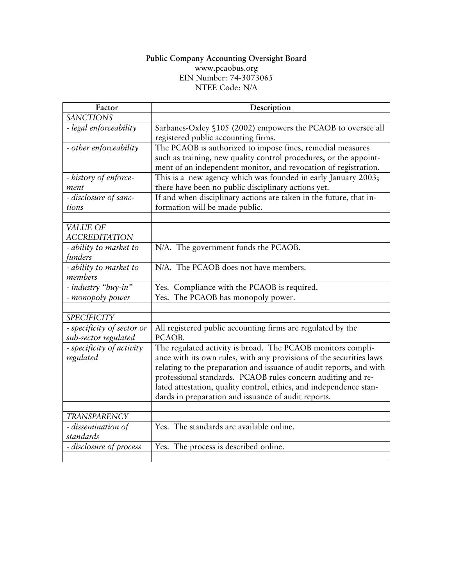#### **Public Company Accounting Oversight Board**  [www.pcaobus.org](http://www.pcaobus.org/) EIN Number: 74-3073065 NTEE Code: N/A

| Factor                                             | Description                                                                                                                                                                                                                                                                                                                                                                                            |
|----------------------------------------------------|--------------------------------------------------------------------------------------------------------------------------------------------------------------------------------------------------------------------------------------------------------------------------------------------------------------------------------------------------------------------------------------------------------|
| <b>SANCTIONS</b>                                   |                                                                                                                                                                                                                                                                                                                                                                                                        |
| - legal enforceability                             | Sarbanes-Oxley §105 (2002) empowers the PCAOB to oversee all<br>registered public accounting firms.                                                                                                                                                                                                                                                                                                    |
| - other enforceability                             | The PCAOB is authorized to impose fines, remedial measures<br>such as training, new quality control procedures, or the appoint-<br>ment of an independent monitor, and revocation of registration.                                                                                                                                                                                                     |
| - history of enforce-<br>ment                      | This is a new agency which was founded in early January 2003;<br>there have been no public disciplinary actions yet.                                                                                                                                                                                                                                                                                   |
| - disclosure of sanc-<br>tions                     | If and when disciplinary actions are taken in the future, that in-<br>formation will be made public.                                                                                                                                                                                                                                                                                                   |
| VALUE OF<br><b>ACCREDITATION</b>                   |                                                                                                                                                                                                                                                                                                                                                                                                        |
| - ability to market to<br>funders                  | N/A. The government funds the PCAOB.                                                                                                                                                                                                                                                                                                                                                                   |
| - ability to market to<br>members                  | N/A. The PCAOB does not have members.                                                                                                                                                                                                                                                                                                                                                                  |
| - industry "buy-in"                                | Yes. Compliance with the PCAOB is required.                                                                                                                                                                                                                                                                                                                                                            |
| - monopoly power                                   | Yes. The PCAOB has monopoly power.                                                                                                                                                                                                                                                                                                                                                                     |
|                                                    |                                                                                                                                                                                                                                                                                                                                                                                                        |
| <b>SPECIFICITY</b>                                 |                                                                                                                                                                                                                                                                                                                                                                                                        |
| - specificity of sector or<br>sub-sector regulated | All registered public accounting firms are regulated by the<br>PCAOB.                                                                                                                                                                                                                                                                                                                                  |
| - specificity of activity<br>regulated             | The regulated activity is broad. The PCAOB monitors compli-<br>ance with its own rules, with any provisions of the securities laws<br>relating to the preparation and issuance of audit reports, and with<br>professional standards. PCAOB rules concern auditing and re-<br>lated attestation, quality control, ethics, and independence stan-<br>dards in preparation and issuance of audit reports. |
| <b>TRANSPARENCY</b>                                |                                                                                                                                                                                                                                                                                                                                                                                                        |
| - dissemination of<br>standards                    | Yes. The standards are available online.                                                                                                                                                                                                                                                                                                                                                               |
| - disclosure of process                            | Yes. The process is described online.                                                                                                                                                                                                                                                                                                                                                                  |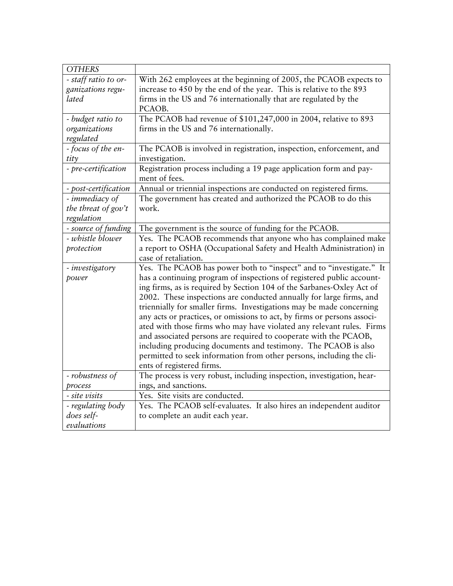| <b>OTHERS</b>        |                                                                         |
|----------------------|-------------------------------------------------------------------------|
| - staff ratio to or- | With 262 employees at the beginning of 2005, the PCAOB expects to       |
| ganizations regu-    | increase to 450 by the end of the year. This is relative to the 893     |
| lated                | firms in the US and 76 internationally that are regulated by the        |
|                      | PCAOB.                                                                  |
| - budget ratio to    | The PCAOB had revenue of \$101,247,000 in 2004, relative to 893         |
| organizations        | firms in the US and 76 internationally.                                 |
| regulated            |                                                                         |
| - focus of the en-   | The PCAOB is involved in registration, inspection, enforcement, and     |
| tity                 | investigation.                                                          |
| - pre-certification  | Registration process including a 19 page application form and pay-      |
|                      | ment of fees.                                                           |
| - post-certification | Annual or triennial inspections are conducted on registered firms.      |
| - immediacy of       | The government has created and authorized the PCAOB to do this          |
| the threat of gov't  | work.                                                                   |
| regulation           |                                                                         |
| - source of funding  | The government is the source of funding for the PCAOB.                  |
| - whistle blower     | Yes. The PCAOB recommends that anyone who has complained make           |
| protection           | a report to OSHA (Occupational Safety and Health Administration) in     |
|                      | case of retaliation.                                                    |
| - investigatory      | Yes. The PCAOB has power both to "inspect" and to "investigate." It     |
| power                | has a continuing program of inspections of registered public account-   |
|                      | ing firms, as is required by Section 104 of the Sarbanes-Oxley Act of   |
|                      | 2002. These inspections are conducted annually for large firms, and     |
|                      | triennially for smaller firms. Investigations may be made concerning    |
|                      | any acts or practices, or omissions to act, by firms or persons associ- |
|                      | ated with those firms who may have violated any relevant rules. Firms   |
|                      | and associated persons are required to cooperate with the PCAOB,        |
|                      | including producing documents and testimony. The PCAOB is also          |
|                      | permitted to seek information from other persons, including the cli-    |
|                      | ents of registered firms.                                               |
| - robustness of      | The process is very robust, including inspection, investigation, hear-  |
| process              | ings, and sanctions.                                                    |
| - site visits        | Yes. Site visits are conducted.                                         |
| - regulating body    | Yes. The PCAOB self-evaluates. It also hires an independent auditor     |
| does self-           | to complete an audit each year.                                         |
| evaluations          |                                                                         |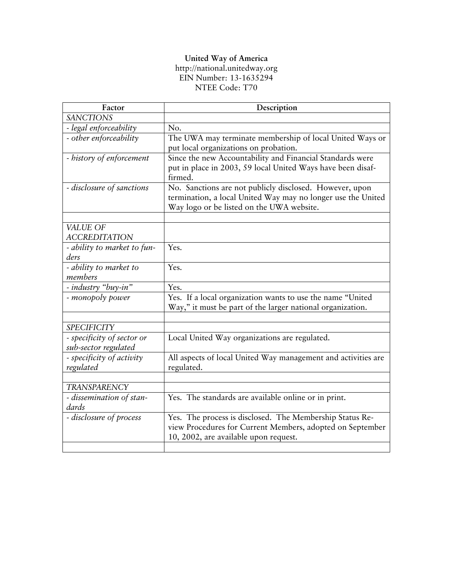#### **United Way of America**

#### [http://national.unitedway.org](http://national.unitedway.org/) EIN Number: 13-1635294 NTEE Code: T70

| Factor                      | Description                                                   |
|-----------------------------|---------------------------------------------------------------|
| <b>SANCTIONS</b>            |                                                               |
| - legal enforceability      | No.                                                           |
| - other enforceability      | The UWA may terminate membership of local United Ways or      |
|                             | put local organizations on probation.                         |
| - history of enforcement    | Since the new Accountability and Financial Standards were     |
|                             | put in place in 2003, 59 local United Ways have been disaf-   |
|                             | firmed.                                                       |
| - disclosure of sanctions   | No. Sanctions are not publicly disclosed. However, upon       |
|                             | termination, a local United Way may no longer use the United  |
|                             | Way logo or be listed on the UWA website.                     |
|                             |                                                               |
| <b>VALUE OF</b>             |                                                               |
| <b>ACCREDITATION</b>        |                                                               |
| - ability to market to fun- | Yes.                                                          |
| ders                        |                                                               |
| - ability to market to      | Yes.                                                          |
| members                     |                                                               |
| - industry "buy-in"         | Yes.                                                          |
| - monopoly power            | Yes. If a local organization wants to use the name "United    |
|                             | Way," it must be part of the larger national organization.    |
|                             |                                                               |
| <b>SPECIFICITY</b>          |                                                               |
| - specificity of sector or  | Local United Way organizations are regulated.                 |
| sub-sector regulated        |                                                               |
| - specificity of activity   | All aspects of local United Way management and activities are |
| regulated                   | regulated.                                                    |
|                             |                                                               |
| <b>TRANSPARENCY</b>         |                                                               |
| - dissemination of stan-    | Yes. The standards are available online or in print.          |
| dards                       |                                                               |
| - disclosure of process     | Yes. The process is disclosed. The Membership Status Re-      |
|                             | view Procedures for Current Members, adopted on September     |
|                             | 10, 2002, are available upon request.                         |
|                             |                                                               |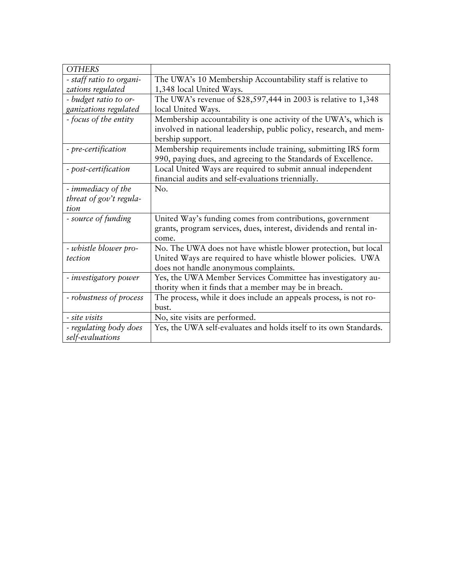| <b>OTHERS</b>            |                                                                    |
|--------------------------|--------------------------------------------------------------------|
| - staff ratio to organi- | The UWA's 10 Membership Accountability staff is relative to        |
| zations regulated        | 1,348 local United Ways.                                           |
| - budget ratio to or-    | The UWA's revenue of \$28,597,444 in 2003 is relative to 1,348     |
| ganizations regulated    | local United Ways.                                                 |
| - focus of the entity    | Membership accountability is one activity of the UWA's, which is   |
|                          | involved in national leadership, public policy, research, and mem- |
|                          | bership support.                                                   |
| - pre-certification      | Membership requirements include training, submitting IRS form      |
|                          | 990, paying dues, and agreeing to the Standards of Excellence.     |
| - post-certification     | Local United Ways are required to submit annual independent        |
|                          | financial audits and self-evaluations triennially.                 |
| - immediacy of the       | No.                                                                |
| threat of gov't regula-  |                                                                    |
| tion                     |                                                                    |
| - source of funding      | United Way's funding comes from contributions, government          |
|                          | grants, program services, dues, interest, dividends and rental in- |
|                          | come.                                                              |
| - whistle blower pro-    | No. The UWA does not have whistle blower protection, but local     |
| tection                  | United Ways are required to have whistle blower policies. UWA      |
|                          | does not handle anonymous complaints.                              |
| - investigatory power    | Yes, the UWA Member Services Committee has investigatory au-       |
|                          | thority when it finds that a member may be in breach.              |
| - robustness of process  | The process, while it does include an appeals process, is not ro-  |
|                          | bust.                                                              |
| - site visits            | No, site visits are performed.                                     |
| - regulating body does   | Yes, the UWA self-evaluates and holds itself to its own Standards. |
| self-evaluations         |                                                                    |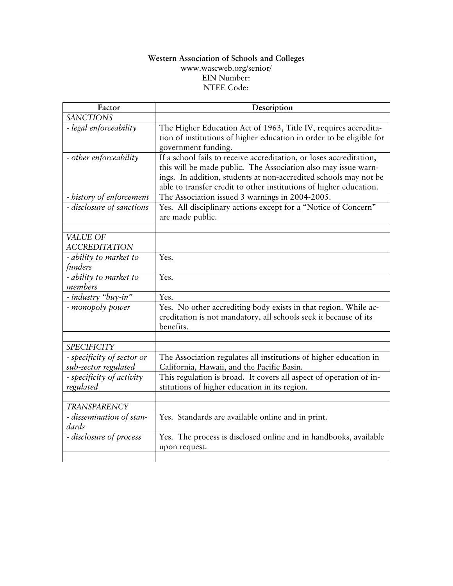#### **Western Association of Schools and Colleges**  [www.wascweb.org/senior/](http://www.wascweb.org/senior/) EIN Number: NTEE Code:

| Factor                     | Description                                                                        |
|----------------------------|------------------------------------------------------------------------------------|
| <b>SANCTIONS</b>           |                                                                                    |
| - legal enforceability     | The Higher Education Act of 1963, Title IV, requires accredita-                    |
|                            | tion of institutions of higher education in order to be eligible for               |
|                            | government funding.                                                                |
| - other enforceability     | If a school fails to receive accreditation, or loses accreditation,                |
|                            | this will be made public. The Association also may issue warn-                     |
|                            | ings. In addition, students at non-accredited schools may not be                   |
|                            | able to transfer credit to other institutions of higher education.                 |
| - history of enforcement   | The Association issued 3 warnings in 2004-2005.                                    |
| - disclosure of sanctions  | Yes. All disciplinary actions except for a "Notice of Concern"<br>are made public. |
|                            |                                                                                    |
| VALUE OF                   |                                                                                    |
| <b>ACCREDITATION</b>       |                                                                                    |
| - ability to market to     | Yes.                                                                               |
| funders                    |                                                                                    |
| - ability to market to     | Yes.                                                                               |
| members                    |                                                                                    |
| - industry "buy-in"        | Yes.                                                                               |
| - monopoly power           | Yes. No other accrediting body exists in that region. While ac-                    |
|                            | creditation is not mandatory, all schools seek it because of its                   |
|                            | benefits.                                                                          |
|                            |                                                                                    |
| <b>SPECIFICITY</b>         |                                                                                    |
| - specificity of sector or | The Association regulates all institutions of higher education in                  |
| sub-sector regulated       | California, Hawaii, and the Pacific Basin.                                         |
| - specificity of activity  | This regulation is broad. It covers all aspect of operation of in-                 |
| regulated                  | stitutions of higher education in its region.                                      |
|                            |                                                                                    |
| TRANSPARENCY               |                                                                                    |
| - dissemination of stan-   | Yes. Standards are available online and in print.                                  |
| dards                      |                                                                                    |
| - disclosure of process    | Yes. The process is disclosed online and in handbooks, available                   |
|                            | upon request.                                                                      |
|                            |                                                                                    |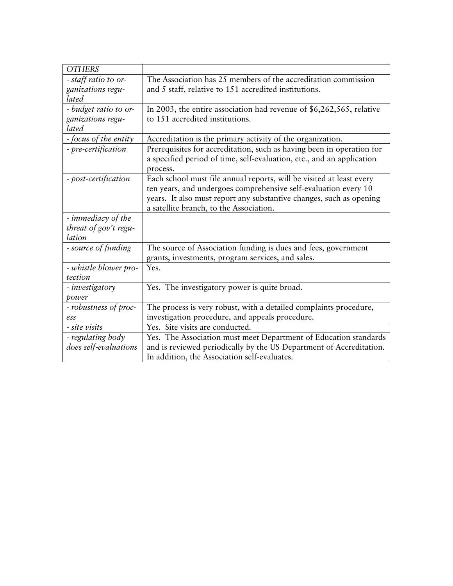| <b>OTHERS</b>         |                                                                       |  |
|-----------------------|-----------------------------------------------------------------------|--|
| - staff ratio to or-  | The Association has 25 members of the accreditation commission        |  |
| ganizations regu-     | and 5 staff, relative to 151 accredited institutions.                 |  |
| lated                 |                                                                       |  |
| - budget ratio to or- | In 2003, the entire association had revenue of \$6,262,565, relative  |  |
| ganizations regu-     | to 151 accredited institutions.                                       |  |
| lated                 |                                                                       |  |
| - focus of the entity | Accreditation is the primary activity of the organization.            |  |
| - pre-certification   | Prerequisites for accreditation, such as having been in operation for |  |
|                       | a specified period of time, self-evaluation, etc., and an application |  |
|                       | process.                                                              |  |
| - post-certification  | Each school must file annual reports, will be visited at least every  |  |
|                       | ten years, and undergoes comprehensive self-evaluation every 10       |  |
|                       | years. It also must report any substantive changes, such as opening   |  |
|                       | a satellite branch, to the Association.                               |  |
| - immediacy of the    |                                                                       |  |
| threat of gov't regu- |                                                                       |  |
| lation                |                                                                       |  |
| - source of funding   | The source of Association funding is dues and fees, government        |  |
|                       | grants, investments, program services, and sales.                     |  |
| - whistle blower pro- | Yes.                                                                  |  |
| tection               |                                                                       |  |
| - investigatory       | Yes. The investigatory power is quite broad.                          |  |
| power                 |                                                                       |  |
| - robustness of proc- | The process is very robust, with a detailed complaints procedure,     |  |
| ess                   | investigation procedure, and appeals procedure.                       |  |
| - site visits         | Yes. Site visits are conducted.                                       |  |
| - regulating body     | Yes. The Association must meet Department of Education standards      |  |
| does self-evaluations | and is reviewed periodically by the US Department of Accreditation.   |  |
|                       | In addition, the Association self-evaluates.                          |  |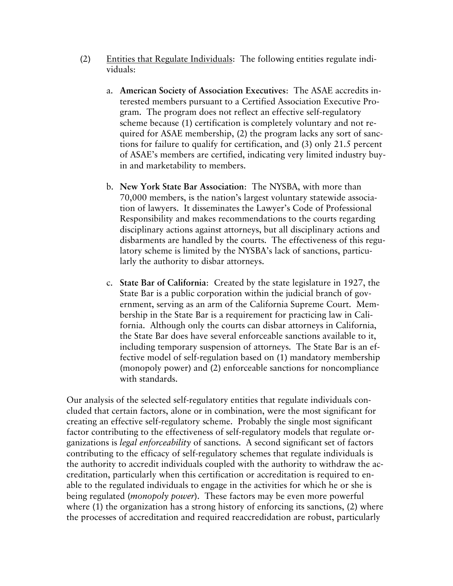- (2) Entities that Regulate Individuals: The following entities regulate individuals:
	- a. **American Society of Association Executives**: The ASAE accredits interested members pursuant to a Certified Association Executive Program. The program does not reflect an effective self-regulatory scheme because (1) certification is completely voluntary and not required for ASAE membership, (2) the program lacks any sort of sanctions for failure to qualify for certification, and (3) only 21.5 percent of ASAE's members are certified, indicating very limited industry buyin and marketability to members.
	- b. **New York State Bar Association**: The NYSBA, with more than 70,000 members, is the nation's largest voluntary statewide association of lawyers. It disseminates the Lawyer's Code of Professional Responsibility and makes recommendations to the courts regarding disciplinary actions against attorneys, but all disciplinary actions and disbarments are handled by the courts. The effectiveness of this regulatory scheme is limited by the NYSBA's lack of sanctions, particularly the authority to disbar attorneys.
	- c. **State Bar of California**: Created by the state legislature in 1927, the State Bar is a public corporation within the judicial branch of government, serving as an arm of the California Supreme Court. Membership in the State Bar is a requirement for practicing law in California. Although only the courts can disbar attorneys in California, the State Bar does have several enforceable sanctions available to it, including temporary suspension of attorneys. The State Bar is an effective model of self-regulation based on (1) mandatory membership (monopoly power) and (2) enforceable sanctions for noncompliance with standards.

Our analysis of the selected self-regulatory entities that regulate individuals concluded that certain factors, alone or in combination, were the most significant for creating an effective self-regulatory scheme. Probably the single most significant factor contributing to the effectiveness of self-regulatory models that regulate organizations is *legal enforceability* of sanctions. A second significant set of factors contributing to the efficacy of self-regulatory schemes that regulate individuals is the authority to accredit individuals coupled with the authority to withdraw the accreditation, particularly when this certification or accreditation is required to enable to the regulated individuals to engage in the activities for which he or she is being regulated (*monopoly power*). These factors may be even more powerful where (1) the organization has a strong history of enforcing its sanctions, (2) where the processes of accreditation and required reaccredidation are robust, particularly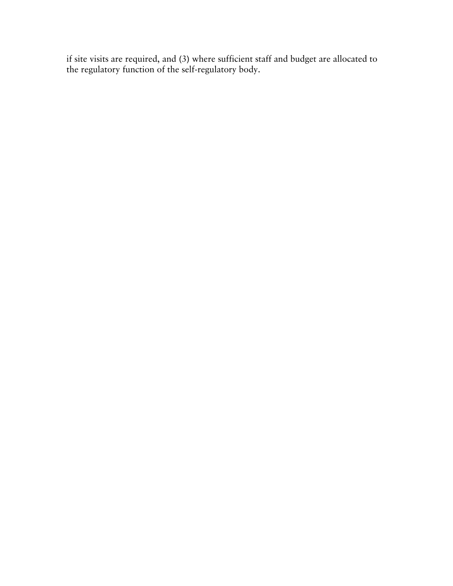if site visits are required, and (3) where sufficient staff and budget are allocated to the regulatory function of the self-regulatory body.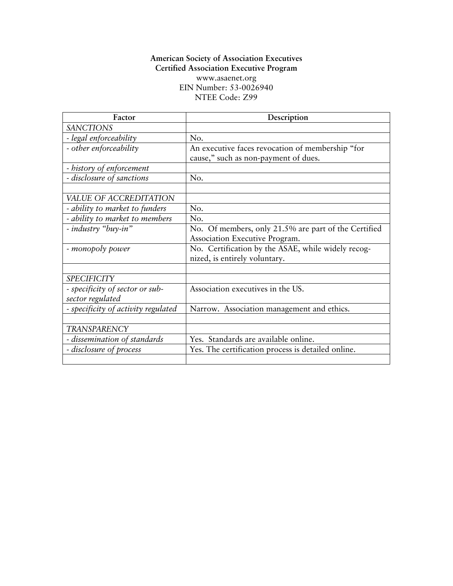## **American Society of Association Executives Certified Association Executive Program**  [www.asaenet.org](http://www.asaenet.org/) EIN Number: 53-0026940 NTEE Code: Z99

| Factor                                              | Description                                                                              |
|-----------------------------------------------------|------------------------------------------------------------------------------------------|
| <b>SANCTIONS</b>                                    |                                                                                          |
| - legal enforceability                              | No.                                                                                      |
| - other enforceability                              | An executive faces revocation of membership "for<br>cause," such as non-payment of dues. |
| - history of enforcement                            |                                                                                          |
| - disclosure of sanctions                           | No.                                                                                      |
|                                                     |                                                                                          |
| VALUE OF ACCREDITATION                              |                                                                                          |
| - ability to market to funders                      | No.                                                                                      |
| - ability to market to members                      | No.                                                                                      |
| - industry "buy-in"                                 | No. Of members, only 21.5% are part of the Certified                                     |
|                                                     | Association Executive Program.                                                           |
| - monopoly power                                    | No. Certification by the ASAE, while widely recog-<br>nized, is entirely voluntary.      |
|                                                     |                                                                                          |
| <b>SPECIFICITY</b>                                  |                                                                                          |
| - specificity of sector or sub-<br>sector regulated | Association executives in the US.                                                        |
| - specificity of activity regulated                 | Narrow. Association management and ethics.                                               |
|                                                     |                                                                                          |
| <b>TRANSPARENCY</b>                                 |                                                                                          |
| - dissemination of standards                        | Yes. Standards are available online.                                                     |
| - disclosure of process                             | Yes. The certification process is detailed online.                                       |
|                                                     |                                                                                          |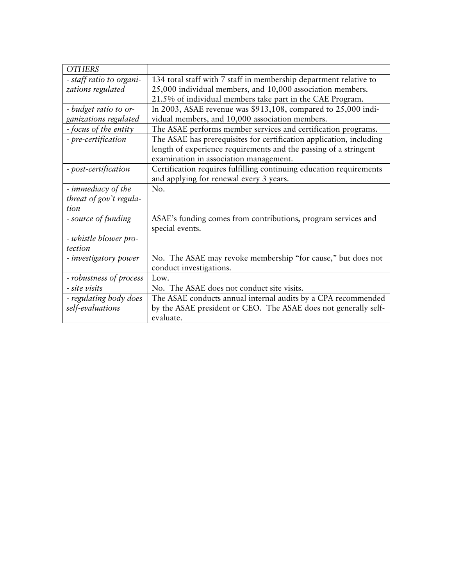| <b>OTHERS</b>            |                                                                     |
|--------------------------|---------------------------------------------------------------------|
| - staff ratio to organi- | 134 total staff with 7 staff in membership department relative to   |
| zations regulated        | 25,000 individual members, and 10,000 association members.          |
|                          | 21.5% of individual members take part in the CAE Program.           |
| - budget ratio to or-    | In 2003, ASAE revenue was \$913,108, compared to 25,000 indi-       |
| ganizations regulated    | vidual members, and 10,000 association members.                     |
| - focus of the entity    | The ASAE performs member services and certification programs.       |
| - pre-certification      | The ASAE has prerequisites for certification application, including |
|                          | length of experience requirements and the passing of a stringent    |
|                          | examination in association management.                              |
| - post-certification     | Certification requires fulfilling continuing education requirements |
|                          | and applying for renewal every 3 years.                             |
| - immediacy of the       | No.                                                                 |
| threat of gov't regula-  |                                                                     |
| tion                     |                                                                     |
| - source of funding      | ASAE's funding comes from contributions, program services and       |
|                          | special events.                                                     |
| - whistle blower pro-    |                                                                     |
| tection                  |                                                                     |
| - investigatory power    | No. The ASAE may revoke membership "for cause," but does not        |
|                          | conduct investigations.                                             |
| - robustness of process  | Low.                                                                |
| - site visits            | No. The ASAE does not conduct site visits.                          |
| - regulating body does   | The ASAE conducts annual internal audits by a CPA recommended       |
| self-evaluations         | by the ASAE president or CEO. The ASAE does not generally self-     |
|                          | evaluate.                                                           |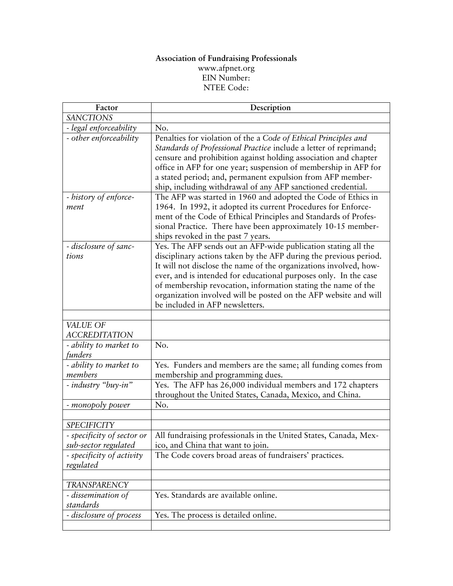#### **Association of Fundraising Professionals**  [www.afpnet.org](http://www.pcaobus.org/) EIN Number: NTEE Code:

| Factor                                             | Description                                                                                                                                                                                                                                                                                                                                                                                                                                          |
|----------------------------------------------------|------------------------------------------------------------------------------------------------------------------------------------------------------------------------------------------------------------------------------------------------------------------------------------------------------------------------------------------------------------------------------------------------------------------------------------------------------|
| <b>SANCTIONS</b>                                   |                                                                                                                                                                                                                                                                                                                                                                                                                                                      |
| - legal enforceability                             | No.                                                                                                                                                                                                                                                                                                                                                                                                                                                  |
| - other enforceability                             | Penalties for violation of the a Code of Ethical Principles and<br>Standards of Professional Practice include a letter of reprimand;<br>censure and prohibition against holding association and chapter<br>office in AFP for one year; suspension of membership in AFP for<br>a stated period; and, permanent expulsion from AFP member-<br>ship, including withdrawal of any AFP sanctioned credential.                                             |
| - history of enforce-<br>ment                      | The AFP was started in 1960 and adopted the Code of Ethics in<br>1964. In 1992, it adopted its current Procedures for Enforce-<br>ment of the Code of Ethical Principles and Standards of Profes-<br>sional Practice. There have been approximately 10-15 member-<br>ships revoked in the past 7 years.                                                                                                                                              |
| - disclosure of sanc-<br>tions                     | Yes. The AFP sends out an AFP-wide publication stating all the<br>disciplinary actions taken by the AFP during the previous period.<br>It will not disclose the name of the organizations involved, how-<br>ever, and is intended for educational purposes only. In the case<br>of membership revocation, information stating the name of the<br>organization involved will be posted on the AFP website and will<br>be included in AFP newsletters. |
|                                                    |                                                                                                                                                                                                                                                                                                                                                                                                                                                      |
| VALUE OF<br><b>ACCREDITATION</b>                   |                                                                                                                                                                                                                                                                                                                                                                                                                                                      |
| - ability to market to<br>funders                  | No.                                                                                                                                                                                                                                                                                                                                                                                                                                                  |
| - ability to market to<br>members                  | Yes. Funders and members are the same; all funding comes from<br>membership and programming dues.                                                                                                                                                                                                                                                                                                                                                    |
| - industry "buy-in"                                | Yes. The AFP has 26,000 individual members and 172 chapters<br>throughout the United States, Canada, Mexico, and China.                                                                                                                                                                                                                                                                                                                              |
| - monopoly power                                   | No.                                                                                                                                                                                                                                                                                                                                                                                                                                                  |
|                                                    |                                                                                                                                                                                                                                                                                                                                                                                                                                                      |
| <b>SPECIFICITY</b>                                 |                                                                                                                                                                                                                                                                                                                                                                                                                                                      |
| - specificity of sector or<br>sub-sector regulated | All fundraising professionals in the United States, Canada, Mex-<br>ico, and China that want to join.                                                                                                                                                                                                                                                                                                                                                |
| - specificity of activity<br>regulated             | The Code covers broad areas of fundraisers' practices.                                                                                                                                                                                                                                                                                                                                                                                               |
|                                                    |                                                                                                                                                                                                                                                                                                                                                                                                                                                      |
| TRANSPARENCY                                       |                                                                                                                                                                                                                                                                                                                                                                                                                                                      |
| - dissemination of<br>standards                    | Yes. Standards are available online.                                                                                                                                                                                                                                                                                                                                                                                                                 |
| - disclosure of process                            | Yes. The process is detailed online.                                                                                                                                                                                                                                                                                                                                                                                                                 |
|                                                    |                                                                                                                                                                                                                                                                                                                                                                                                                                                      |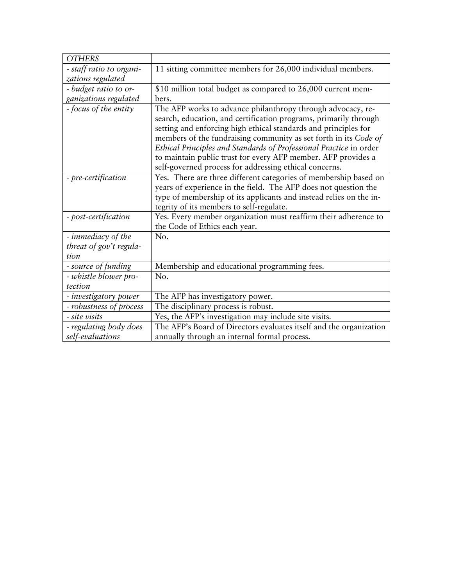| <b>OTHERS</b>            |                                                                    |
|--------------------------|--------------------------------------------------------------------|
| - staff ratio to organi- | 11 sitting committee members for 26,000 individual members.        |
| zations regulated        |                                                                    |
| - budget ratio to or-    | \$10 million total budget as compared to 26,000 current mem-       |
| ganizations regulated    | bers.                                                              |
| - focus of the entity    | The AFP works to advance philanthropy through advocacy, re-        |
|                          | search, education, and certification programs, primarily through   |
|                          | setting and enforcing high ethical standards and principles for    |
|                          | members of the fundraising community as set forth in its Code of   |
|                          | Ethical Principles and Standards of Professional Practice in order |
|                          | to maintain public trust for every AFP member. AFP provides a      |
|                          | self-governed process for addressing ethical concerns.             |
| - pre-certification      | Yes. There are three different categories of membership based on   |
|                          | years of experience in the field. The AFP does not question the    |
|                          | type of membership of its applicants and instead relies on the in- |
|                          | tegrity of its members to self-regulate.                           |
| - post-certification     | Yes. Every member organization must reaffirm their adherence to    |
|                          | the Code of Ethics each year.                                      |
| - immediacy of the       | No.                                                                |
| threat of gov't regula-  |                                                                    |
| tion                     |                                                                    |
| - source of funding      | Membership and educational programming fees.                       |
| - whistle blower pro-    | No.                                                                |
| tection                  |                                                                    |
| - investigatory power    | The AFP has investigatory power.                                   |
| - robustness of process  | The disciplinary process is robust.                                |
| - site visits            | Yes, the AFP's investigation may include site visits.              |
| - regulating body does   | The AFP's Board of Directors evaluates itself and the organization |
| self-evaluations         | annually through an internal formal process.                       |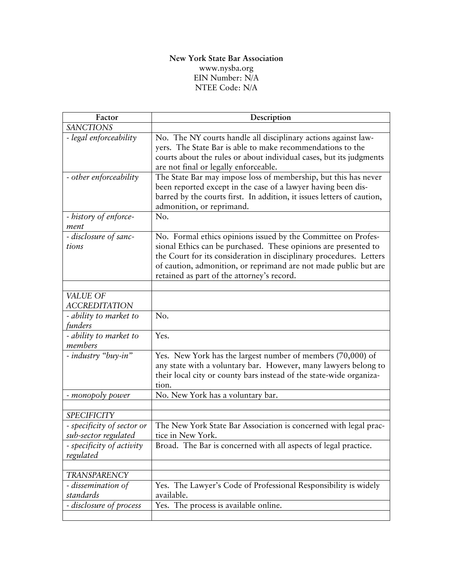## **New York State Bar Association**  [www.nysba.org](http://www.nysba.org/) EIN Number: N/A NTEE Code: N/A

| Factor                                            | Description                                                                                                                                                                                                                                                                                                               |
|---------------------------------------------------|---------------------------------------------------------------------------------------------------------------------------------------------------------------------------------------------------------------------------------------------------------------------------------------------------------------------------|
| <b>SANCTIONS</b>                                  |                                                                                                                                                                                                                                                                                                                           |
| - legal enforceability                            | No. The NY courts handle all disciplinary actions against law-<br>yers. The State Bar is able to make recommendations to the<br>courts about the rules or about individual cases, but its judgments<br>are not final or legally enforceable.                                                                              |
| - other enforceability                            | The State Bar may impose loss of membership, but this has never<br>been reported except in the case of a lawyer having been dis-<br>barred by the courts first. In addition, it issues letters of caution,<br>admonition, or reprimand.                                                                                   |
| - history of enforce-<br>ment                     | No.                                                                                                                                                                                                                                                                                                                       |
| - disclosure of sanc-<br>tions                    | No. Formal ethics opinions issued by the Committee on Profes-<br>sional Ethics can be purchased. These opinions are presented to<br>the Court for its consideration in disciplinary procedures. Letters<br>of caution, admonition, or reprimand are not made public but are<br>retained as part of the attorney's record. |
| VALUE OF                                          |                                                                                                                                                                                                                                                                                                                           |
| <b>ACCREDITATION</b>                              |                                                                                                                                                                                                                                                                                                                           |
| - ability to market to<br>funders                 | No.                                                                                                                                                                                                                                                                                                                       |
| - ability to market to<br>members                 | Yes.                                                                                                                                                                                                                                                                                                                      |
| - industry "buy-in"                               | Yes. New York has the largest number of members (70,000) of<br>any state with a voluntary bar. However, many lawyers belong to<br>their local city or county bars instead of the state-wide organiza-<br>tion.                                                                                                            |
| - monopoly power                                  | No. New York has a voluntary bar.                                                                                                                                                                                                                                                                                         |
|                                                   |                                                                                                                                                                                                                                                                                                                           |
| <b>SPECIFICITY</b>                                |                                                                                                                                                                                                                                                                                                                           |
| - specificity of sector or                        | The New York State Bar Association is concerned with legal prac-                                                                                                                                                                                                                                                          |
| sub-sector regulated<br>- specificity of activity | tice in New York.<br>Broad. The Bar is concerned with all aspects of legal practice.                                                                                                                                                                                                                                      |
| regulated                                         |                                                                                                                                                                                                                                                                                                                           |
|                                                   |                                                                                                                                                                                                                                                                                                                           |
| TRANSPARENCY<br>- dissemination of                | Yes. The Lawyer's Code of Professional Responsibility is widely                                                                                                                                                                                                                                                           |
| standards                                         | available.                                                                                                                                                                                                                                                                                                                |
| - disclosure of process                           | Yes. The process is available online.                                                                                                                                                                                                                                                                                     |
|                                                   |                                                                                                                                                                                                                                                                                                                           |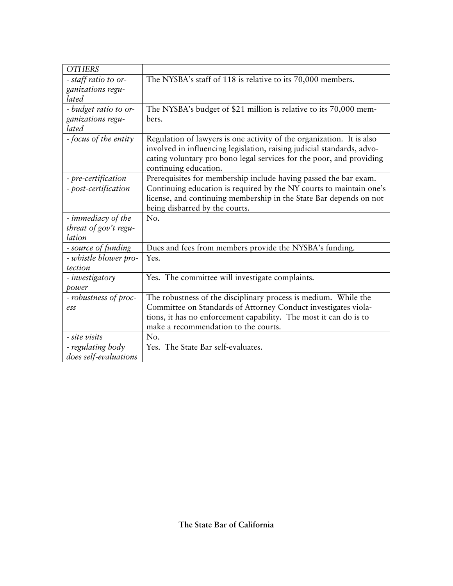| <b>OTHERS</b>         |                                                                                                                                                                                                                                                  |
|-----------------------|--------------------------------------------------------------------------------------------------------------------------------------------------------------------------------------------------------------------------------------------------|
| - staff ratio to or-  | The NYSBA's staff of 118 is relative to its 70,000 members.                                                                                                                                                                                      |
| ganizations regu-     |                                                                                                                                                                                                                                                  |
| lated                 |                                                                                                                                                                                                                                                  |
| - budget ratio to or- | The NYSBA's budget of \$21 million is relative to its 70,000 mem-                                                                                                                                                                                |
| ganizations regu-     | bers.                                                                                                                                                                                                                                            |
| lated                 |                                                                                                                                                                                                                                                  |
| - focus of the entity | Regulation of lawyers is one activity of the organization. It is also<br>involved in influencing legislation, raising judicial standards, advo-<br>cating voluntary pro bono legal services for the poor, and providing<br>continuing education. |
| - pre-certification   | Prerequisites for membership include having passed the bar exam.                                                                                                                                                                                 |
| - post-certification  | Continuing education is required by the NY courts to maintain one's<br>license, and continuing membership in the State Bar depends on not<br>being disbarred by the courts.                                                                      |
| - immediacy of the    | No.                                                                                                                                                                                                                                              |
| threat of gov't regu- |                                                                                                                                                                                                                                                  |
| lation                |                                                                                                                                                                                                                                                  |
| - source of funding   | Dues and fees from members provide the NYSBA's funding.                                                                                                                                                                                          |
| - whistle blower pro- | Yes.                                                                                                                                                                                                                                             |
| tection               |                                                                                                                                                                                                                                                  |
| - investigatory       | Yes. The committee will investigate complaints.                                                                                                                                                                                                  |
| power                 |                                                                                                                                                                                                                                                  |
| - robustness of proc- | The robustness of the disciplinary process is medium. While the                                                                                                                                                                                  |
| ess                   | Committee on Standards of Attorney Conduct investigates viola-                                                                                                                                                                                   |
|                       | tions, it has no enforcement capability. The most it can do is to                                                                                                                                                                                |
|                       | make a recommendation to the courts.                                                                                                                                                                                                             |
| - site visits         | No.                                                                                                                                                                                                                                              |
| - regulating body     | Yes. The State Bar self-evaluates.                                                                                                                                                                                                               |
| does self-evaluations |                                                                                                                                                                                                                                                  |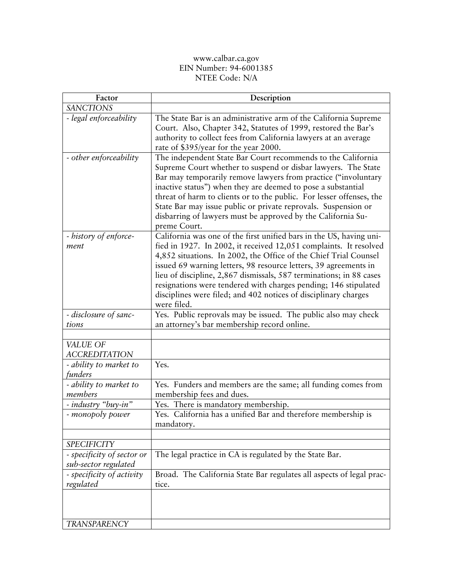#### www.calbar.ca.gov EIN Number: 94-6001385 NTEE Code: N/A

| Factor                                             | Description                                                                                                                                                                                                                                                                                                                                                                                                                                                                                                  |
|----------------------------------------------------|--------------------------------------------------------------------------------------------------------------------------------------------------------------------------------------------------------------------------------------------------------------------------------------------------------------------------------------------------------------------------------------------------------------------------------------------------------------------------------------------------------------|
| <b>SANCTIONS</b>                                   |                                                                                                                                                                                                                                                                                                                                                                                                                                                                                                              |
| - legal enforceability                             | The State Bar is an administrative arm of the California Supreme<br>Court. Also, Chapter 342, Statutes of 1999, restored the Bar's<br>authority to collect fees from California lawyers at an average<br>rate of \$395/year for the year 2000.                                                                                                                                                                                                                                                               |
| - other enforceability                             | The independent State Bar Court recommends to the California<br>Supreme Court whether to suspend or disbar lawyers. The State<br>Bar may temporarily remove lawyers from practice ("involuntary<br>inactive status") when they are deemed to pose a substantial<br>threat of harm to clients or to the public. For lesser offenses, the<br>State Bar may issue public or private reprovals. Suspension or<br>disbarring of lawyers must be approved by the California Su-<br>preme Court.                    |
| - history of enforce-<br>ment                      | California was one of the first unified bars in the US, having uni-<br>fied in 1927. In 2002, it received 12,051 complaints. It resolved<br>4,852 situations. In 2002, the Office of the Chief Trial Counsel<br>issued 69 warning letters, 98 resource letters, 39 agreements in<br>lieu of discipline, 2,867 dismissals, 587 terminations; in 88 cases<br>resignations were tendered with charges pending; 146 stipulated<br>disciplines were filed; and 402 notices of disciplinary charges<br>were filed. |
| - disclosure of sanc-<br>tions                     | Yes. Public reprovals may be issued. The public also may check<br>an attorney's bar membership record online.                                                                                                                                                                                                                                                                                                                                                                                                |
|                                                    |                                                                                                                                                                                                                                                                                                                                                                                                                                                                                                              |
| VALUE OF<br><b>ACCREDITATION</b>                   |                                                                                                                                                                                                                                                                                                                                                                                                                                                                                                              |
| - ability to market to<br>funders                  | Yes.                                                                                                                                                                                                                                                                                                                                                                                                                                                                                                         |
| - ability to market to<br>members                  | Yes. Funders and members are the same; all funding comes from<br>membership fees and dues.                                                                                                                                                                                                                                                                                                                                                                                                                   |
| - industry "buy-in"                                | Yes. There is mandatory membership.                                                                                                                                                                                                                                                                                                                                                                                                                                                                          |
| - monopoly power                                   | Yes. California has a unified Bar and therefore membership is<br>mandatory.                                                                                                                                                                                                                                                                                                                                                                                                                                  |
|                                                    |                                                                                                                                                                                                                                                                                                                                                                                                                                                                                                              |
| <b>SPECIFICITY</b>                                 |                                                                                                                                                                                                                                                                                                                                                                                                                                                                                                              |
| - specificity of sector or<br>sub-sector regulated | The legal practice in CA is regulated by the State Bar.                                                                                                                                                                                                                                                                                                                                                                                                                                                      |
| - specificity of activity<br>regulated             | Broad. The California State Bar regulates all aspects of legal prac-<br>tice.                                                                                                                                                                                                                                                                                                                                                                                                                                |
|                                                    |                                                                                                                                                                                                                                                                                                                                                                                                                                                                                                              |
| <b>TRANSPARENCY</b>                                |                                                                                                                                                                                                                                                                                                                                                                                                                                                                                                              |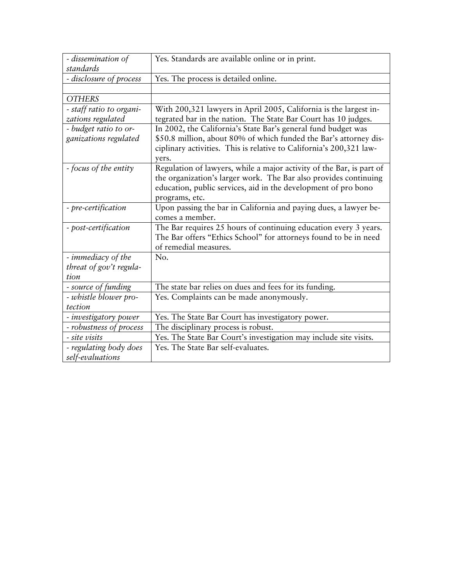| - dissemination of       | Yes. Standards are available online or in print.                     |
|--------------------------|----------------------------------------------------------------------|
| standards                |                                                                      |
| - disclosure of process  | Yes. The process is detailed online.                                 |
|                          |                                                                      |
| <b>OTHERS</b>            |                                                                      |
| - staff ratio to organi- | With 200,321 lawyers in April 2005, California is the largest in-    |
| zations regulated        | tegrated bar in the nation. The State Bar Court has 10 judges.       |
| - budget ratio to or-    | In 2002, the California's State Bar's general fund budget was        |
| ganizations regulated    | \$50.8 million, about 80% of which funded the Bar's attorney dis-    |
|                          | ciplinary activities. This is relative to California's 200,321 law-  |
|                          | yers.                                                                |
| - focus of the entity    | Regulation of lawyers, while a major activity of the Bar, is part of |
|                          | the organization's larger work. The Bar also provides continuing     |
|                          | education, public services, aid in the development of pro bono       |
|                          | programs, etc.                                                       |
| - pre-certification      | Upon passing the bar in California and paying dues, a lawyer be-     |
|                          | comes a member.                                                      |
| - post-certification     | The Bar requires 25 hours of continuing education every 3 years.     |
|                          | The Bar offers "Ethics School" for attorneys found to be in need     |
|                          | of remedial measures.                                                |
| - immediacy of the       | No.                                                                  |
| threat of gov't regula-  |                                                                      |
| tion                     |                                                                      |
| - source of funding      | The state bar relies on dues and fees for its funding.               |
| - whistle blower pro-    | Yes. Complaints can be made anonymously.                             |
| tection                  |                                                                      |
| - investigatory power    | Yes. The State Bar Court has investigatory power.                    |
| - robustness of process  | The disciplinary process is robust.                                  |
| <i>- site visits</i>     | Yes. The State Bar Court's investigation may include site visits.    |
| - regulating body does   | Yes. The State Bar self-evaluates.                                   |
| self-evaluations         |                                                                      |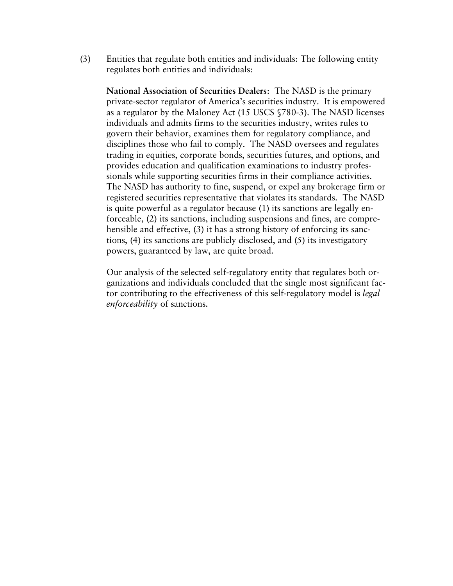(3) Entities that regulate both entities and individuals: The following entity regulates both entities and individuals:

**National Association of Securities Dealers**: The NASD is the primary private-sector regulator of America's securities industry. It is empowered as a regulator by the Maloney Act (15 USCS §780-3). The NASD licenses individuals and admits firms to the securities industry, writes rules to govern their behavior, examines them for regulatory compliance, and disciplines those who fail to comply. The NASD oversees and regulates trading in equities, corporate bonds, securities futures, and options, and provides education and qualification examinations to industry professionals while supporting securities firms in their compliance activities. The NASD has authority to fine, suspend, or expel any brokerage firm or registered securities representative that violates its standards. The NASD is quite powerful as a regulator because (1) its sanctions are legally enforceable, (2) its sanctions, including suspensions and fines, are comprehensible and effective, (3) it has a strong history of enforcing its sanctions, (4) its sanctions are publicly disclosed, and (5) its investigatory powers, guaranteed by law, are quite broad.

Our analysis of the selected self-regulatory entity that regulates both organizations and individuals concluded that the single most significant factor contributing to the effectiveness of this self-regulatory model is *legal enforceability* of sanctions.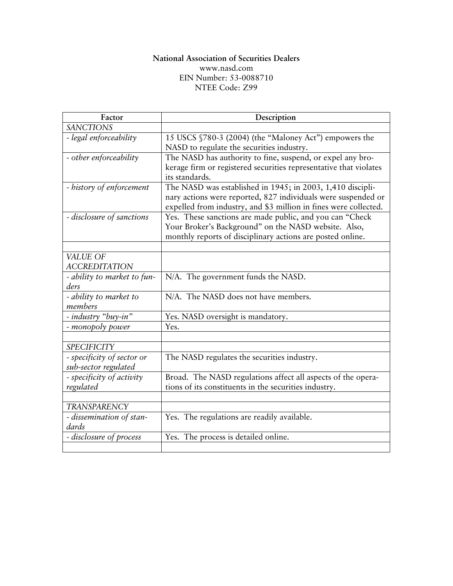#### **National Association of Securities Dealers**  [www.nasd.com](http://www.nasd.com/) EIN Number: 53-0088710 NTEE Code: Z99

| Factor                                             | Description                                                       |
|----------------------------------------------------|-------------------------------------------------------------------|
| <b>SANCTIONS</b>                                   |                                                                   |
| - legal enforceability                             | 15 USCS §780-3 (2004) (the "Maloney Act") empowers the            |
|                                                    | NASD to regulate the securities industry.                         |
| - other enforceability                             | The NASD has authority to fine, suspend, or expel any bro-        |
|                                                    | kerage firm or registered securities representative that violates |
|                                                    | its standards.                                                    |
| - history of enforcement                           | The NASD was established in 1945; in 2003, 1,410 discipli-        |
|                                                    | nary actions were reported, 827 individuals were suspended or     |
|                                                    | expelled from industry, and \$3 million in fines were collected.  |
| - disclosure of sanctions                          | Yes. These sanctions are made public, and you can "Check          |
|                                                    | Your Broker's Background" on the NASD website. Also,              |
|                                                    | monthly reports of disciplinary actions are posted online.        |
|                                                    |                                                                   |
| VALUE OF                                           |                                                                   |
| <b>ACCREDITATION</b>                               |                                                                   |
| - ability to market to fun-                        | N/A. The government funds the NASD.                               |
| ders                                               |                                                                   |
| - ability to market to<br>members                  | N/A. The NASD does not have members.                              |
| - industry "buy-in"                                |                                                                   |
|                                                    | Yes. NASD oversight is mandatory.                                 |
| - monopoly power                                   | Yes.                                                              |
| <b>SPECIFICITY</b>                                 |                                                                   |
|                                                    |                                                                   |
| - specificity of sector or<br>sub-sector regulated | The NASD regulates the securities industry.                       |
| - specificity of activity                          | Broad. The NASD regulations affect all aspects of the opera-      |
| regulated                                          | tions of its constituents in the securities industry.             |
|                                                    |                                                                   |
| <b>TRANSPARENCY</b>                                |                                                                   |
| - dissemination of stan-                           | Yes. The regulations are readily available.                       |
| dards                                              |                                                                   |
| - disclosure of process                            | Yes. The process is detailed online.                              |
|                                                    |                                                                   |
|                                                    |                                                                   |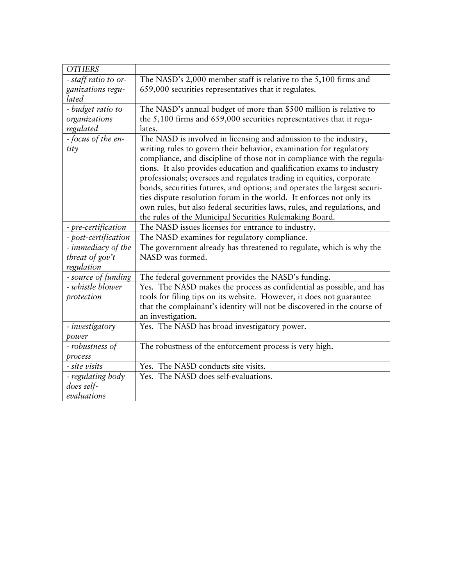| <b>OTHERS</b>        |                                                                          |
|----------------------|--------------------------------------------------------------------------|
| - staff ratio to or- | The NASD's 2,000 member staff is relative to the 5,100 firms and         |
| ganizations regu-    | 659,000 securities representatives that it regulates.                    |
| lated                |                                                                          |
| - budget ratio to    | The NASD's annual budget of more than \$500 million is relative to       |
| organizations        | the 5,100 firms and 659,000 securities representatives that it regu-     |
| regulated            | lates.                                                                   |
| - focus of the en-   | The NASD is involved in licensing and admission to the industry,         |
| tity                 | writing rules to govern their behavior, examination for regulatory       |
|                      | compliance, and discipline of those not in compliance with the regula-   |
|                      | tions. It also provides education and qualification exams to industry    |
|                      | professionals; oversees and regulates trading in equities, corporate     |
|                      | bonds, securities futures, and options; and operates the largest securi- |
|                      | ties dispute resolution forum in the world. It enforces not only its     |
|                      | own rules, but also federal securities laws, rules, and regulations, and |
|                      | the rules of the Municipal Securities Rulemaking Board.                  |
| - pre-certification  | The NASD issues licenses for entrance to industry.                       |
| - post-certification | The NASD examines for regulatory compliance.                             |
| - immediacy of the   | The government already has threatened to regulate, which is why the      |
| threat of $gov't$    | NASD was formed.                                                         |
| regulation           |                                                                          |
| - source of funding  | The federal government provides the NASD's funding.                      |
| - whistle blower     | Yes. The NASD makes the process as confidential as possible, and has     |
| protection           | tools for filing tips on its website. However, it does not guarantee     |
|                      | that the complainant's identity will not be discovered in the course of  |
|                      | an investigation.                                                        |
| - investigatory      | Yes. The NASD has broad investigatory power.                             |
| power                |                                                                          |
| - robustness of      | The robustness of the enforcement process is very high.                  |
|                      |                                                                          |
| process              |                                                                          |
| - site visits        | Yes. The NASD conducts site visits.                                      |
| - regulating body    | Yes. The NASD does self-evaluations.                                     |
| does self-           |                                                                          |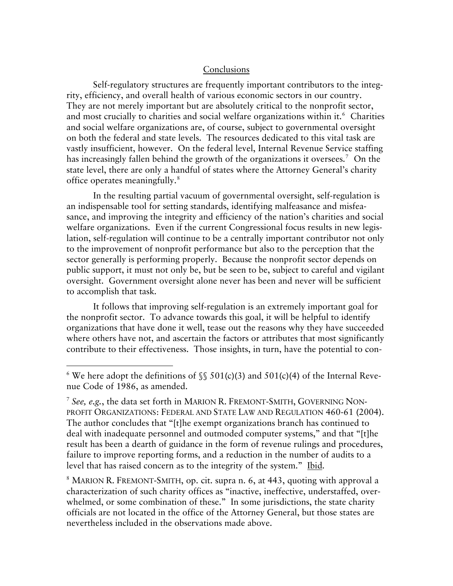#### Conclusions

 Self-regulatory structures are frequently important contributors to the integrity, efficiency, and overall health of various economic sectors in our country. They are not merely important but are absolutely critical to the nonprofit sector, and most crucially to charities and social welfare organizations within it. $^6$  $^6$  Charities and social welfare organizations are, of course, subject to governmental oversight on both the federal and state levels. The resources dedicated to this vital task are vastly insufficient, however. On the federal level, Internal Revenue Service staffing has increasingly fallen behind the growth of the organizations it oversees.<sup>[7](#page-59-1)</sup> On the state level, there are only a handful of states where the Attorney General's charity office operates meaningfully.[8](#page-59-2)

 In the resulting partial vacuum of governmental oversight, self-regulation is an indispensable tool for setting standards, identifying malfeasance and misfeasance, and improving the integrity and efficiency of the nation's charities and social welfare organizations. Even if the current Congressional focus results in new legislation, self-regulation will continue to be a centrally important contributor not only to the improvement of nonprofit performance but also to the perception that the sector generally is performing properly. Because the nonprofit sector depends on public support, it must not only be, but be seen to be, subject to careful and vigilant oversight. Government oversight alone never has been and never will be sufficient to accomplish that task.

 It follows that improving self-regulation is an extremely important goal for the nonprofit sector. To advance towards this goal, it will be helpful to identify organizations that have done it well, tease out the reasons why they have succeeded where others have not, and ascertain the factors or attributes that most significantly contribute to their effectiveness. Those insights, in turn, have the potential to con-

 $\overline{a}$ 

<span id="page-59-2"></span><sup>8</sup> MARION R. FREMONT-SMITH, op. cit. supra n. 6, at 443, quoting with approval a characterization of such charity offices as "inactive, ineffective, understaffed, overwhelmed, or some combination of these." In some jurisdictions, the state charity officials are not located in the office of the Attorney General, but those states are nevertheless included in the observations made above.

<span id="page-59-0"></span><sup>&</sup>lt;sup>6</sup> We here adopt the definitions of  $\frac{1}{2}$  501(c)(3) and 501(c)(4) of the Internal Revenue Code of 1986, as amended.

<span id="page-59-1"></span><sup>7</sup> *See, e.g.*, the data set forth in MARION R. FREMONT-SMITH, GOVERNING NON-PROFIT ORGANIZATIONS: FEDERAL AND STATE LAW AND REGULATION 460-61 (2004). The author concludes that "[t]he exempt organizations branch has continued to deal with inadequate personnel and outmoded computer systems," and that "[t]he result has been a dearth of guidance in the form of revenue rulings and procedures, failure to improve reporting forms, and a reduction in the number of audits to a level that has raised concern as to the integrity of the system." Ibid.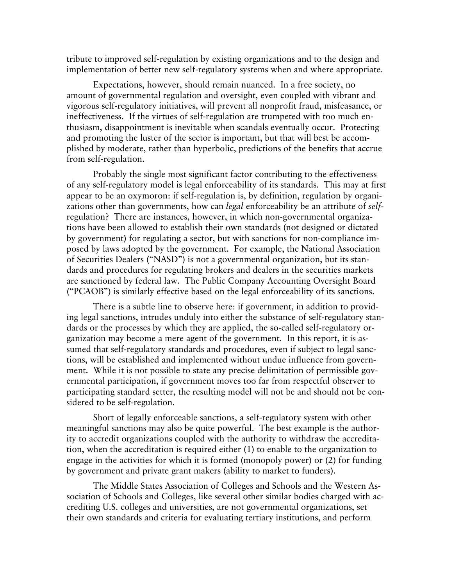tribute to improved self-regulation by existing organizations and to the design and implementation of better new self-regulatory systems when and where appropriate.

 Expectations, however, should remain nuanced. In a free society, no amount of governmental regulation and oversight, even coupled with vibrant and vigorous self-regulatory initiatives, will prevent all nonprofit fraud, misfeasance, or ineffectiveness. If the virtues of self-regulation are trumpeted with too much enthusiasm, disappointment is inevitable when scandals eventually occur. Protecting and promoting the luster of the sector is important, but that will best be accomplished by moderate, rather than hyperbolic, predictions of the benefits that accrue from self-regulation.

 Probably the single most significant factor contributing to the effectiveness of any self-regulatory model is legal enforceability of its standards. This may at first appear to be an oxymoron: if self-regulation is, by definition, regulation by organizations other than governments, how can *legal* enforceability be an attribute of *self*regulation? There are instances, however, in which non-governmental organizations have been allowed to establish their own standards (not designed or dictated by government) for regulating a sector, but with sanctions for non-compliance imposed by laws adopted by the government. For example, the National Association of Securities Dealers ("NASD") is not a governmental organization, but its standards and procedures for regulating brokers and dealers in the securities markets are sanctioned by federal law. The Public Company Accounting Oversight Board ("PCAOB") is similarly effective based on the legal enforceability of its sanctions.

 There is a subtle line to observe here: if government, in addition to providing legal sanctions, intrudes unduly into either the substance of self-regulatory standards or the processes by which they are applied, the so-called self-regulatory organization may become a mere agent of the government. In this report, it is assumed that self-regulatory standards and procedures, even if subject to legal sanctions, will be established and implemented without undue influence from government. While it is not possible to state any precise delimitation of permissible governmental participation, if government moves too far from respectful observer to participating standard setter, the resulting model will not be and should not be considered to be self-regulation.

 Short of legally enforceable sanctions, a self-regulatory system with other meaningful sanctions may also be quite powerful. The best example is the authority to accredit organizations coupled with the authority to withdraw the accreditation, when the accreditation is required either (1) to enable to the organization to engage in the activities for which it is formed (monopoly power) or (2) for funding by government and private grant makers (ability to market to funders).

The Middle States Association of Colleges and Schools and the Western Association of Schools and Colleges, like several other similar bodies charged with accrediting U.S. colleges and universities, are not governmental organizations, set their own standards and criteria for evaluating tertiary institutions, and perform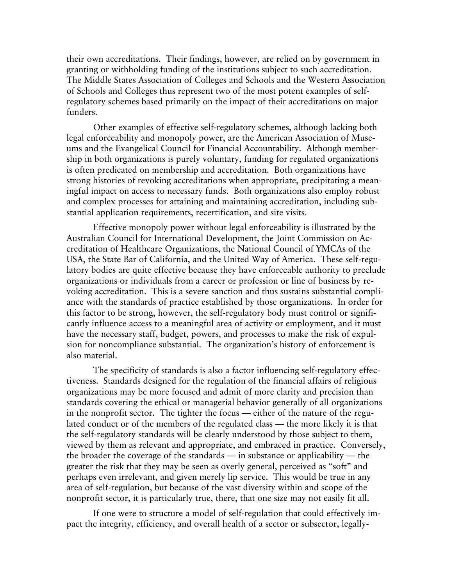their own accreditations. Their findings, however, are relied on by government in granting or withholding funding of the institutions subject to such accreditation. The Middle States Association of Colleges and Schools and the Western Association of Schools and Colleges thus represent two of the most potent examples of selfregulatory schemes based primarily on the impact of their accreditations on major funders.

Other examples of effective self-regulatory schemes, although lacking both legal enforceability and monopoly power, are the American Association of Museums and the Evangelical Council for Financial Accountability. Although membership in both organizations is purely voluntary, funding for regulated organizations is often predicated on membership and accreditation. Both organizations have strong histories of revoking accreditations when appropriate, precipitating a meaningful impact on access to necessary funds. Both organizations also employ robust and complex processes for attaining and maintaining accreditation, including substantial application requirements, recertification, and site visits.

Effective monopoly power without legal enforceability is illustrated by the Australian Council for International Development, the Joint Commission on Accreditation of Healthcare Organizations, the National Council of YMCAs of the USA, the State Bar of California, and the United Way of America. These self-regulatory bodies are quite effective because they have enforceable authority to preclude organizations or individuals from a career or profession or line of business by revoking accreditation. This is a severe sanction and thus sustains substantial compliance with the standards of practice established by those organizations. In order for this factor to be strong, however, the self-regulatory body must control or significantly influence access to a meaningful area of activity or employment, and it must have the necessary staff, budget, powers, and processes to make the risk of expulsion for noncompliance substantial. The organization's history of enforcement is also material.

 The specificity of standards is also a factor influencing self-regulatory effectiveness. Standards designed for the regulation of the financial affairs of religious organizations may be more focused and admit of more clarity and precision than standards covering the ethical or managerial behavior generally of all organizations in the nonprofit sector. The tighter the focus — either of the nature of the regulated conduct or of the members of the regulated class — the more likely it is that the self-regulatory standards will be clearly understood by those subject to them, viewed by them as relevant and appropriate, and embraced in practice. Conversely, the broader the coverage of the standards — in substance or applicability — the greater the risk that they may be seen as overly general, perceived as "soft" and perhaps even irrelevant, and given merely lip service. This would be true in any area of self-regulation, but because of the vast diversity within and scope of the nonprofit sector, it is particularly true, there, that one size may not easily fit all.

If one were to structure a model of self-regulation that could effectively impact the integrity, efficiency, and overall health of a sector or subsector, legally